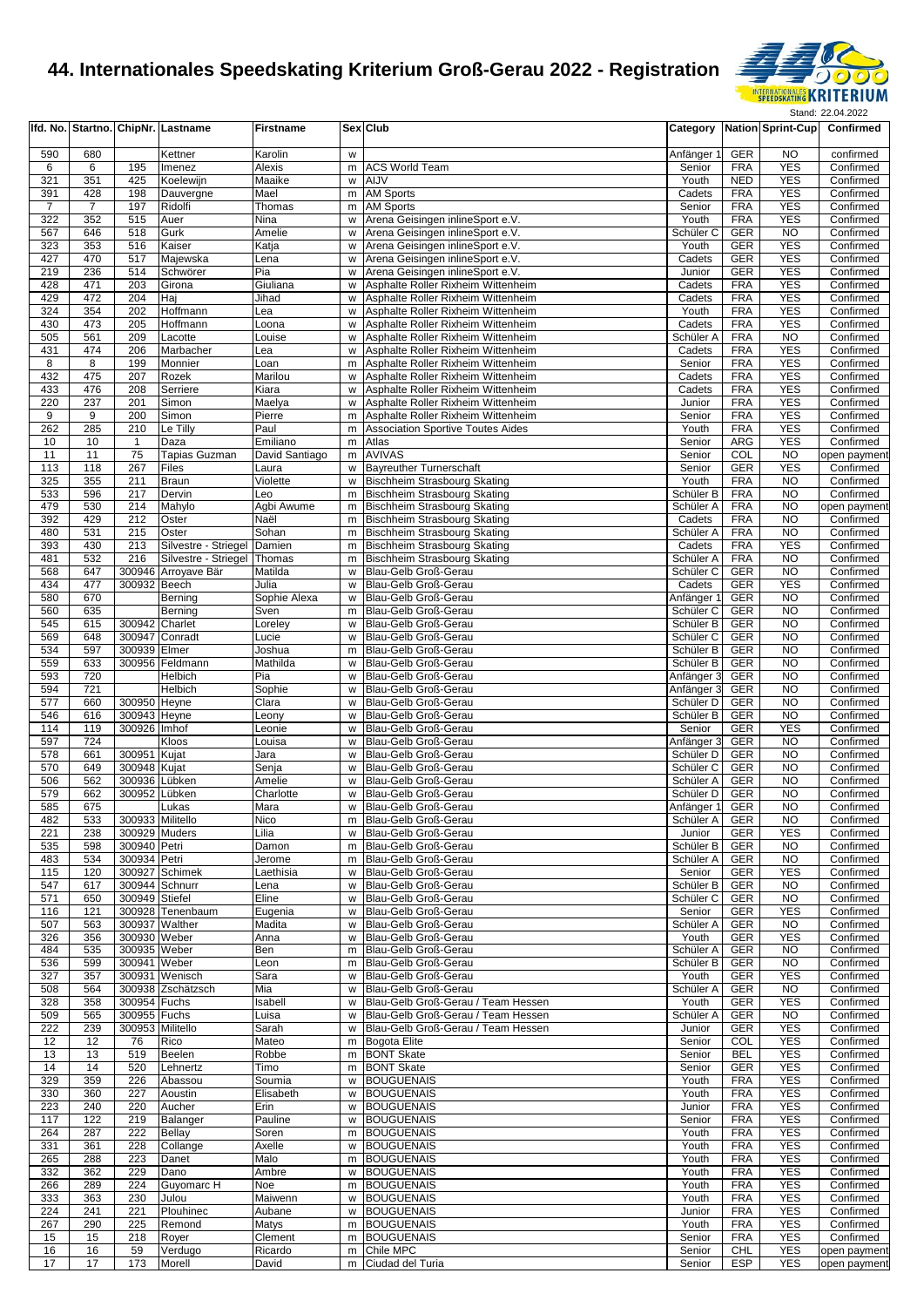

|                |                |                                  | Ifd. No. Startno. ChipNr. Lastname  | <b>Firstname</b>    |        | <b>Sex Club</b>                                                          |                         |                          | Category Nation Sprint-Cup       | Confirmed                 |
|----------------|----------------|----------------------------------|-------------------------------------|---------------------|--------|--------------------------------------------------------------------------|-------------------------|--------------------------|----------------------------------|---------------------------|
|                |                |                                  |                                     |                     |        |                                                                          |                         |                          |                                  |                           |
| 590<br>6       | 680<br>6       | 195                              | Kettner<br>Imenez                   | Karolin<br>Alexis   | W<br>m | <b>ACS World Team</b>                                                    | Anfänger 1<br>Senior    | GER<br><b>FRA</b>        | <b>NO</b><br><b>YES</b>          | confirmed<br>Confirmed    |
| 321            | 351            | 425                              | Koelewijn                           | Maaike              |        | w AIJV                                                                   | Youth                   | <b>NED</b>               | <b>YES</b>                       | Confirmed                 |
| 391            | 428            | 198                              | Dauvergne                           | Mael                | m      | <b>AM Sports</b>                                                         | Cadets                  | <b>FRA</b>               | <b>YES</b>                       | Confirmed                 |
| $\overline{7}$ | $\overline{7}$ | 197                              | Ridolfi                             | Thomas              | m      | <b>AM Sports</b>                                                         | Senior                  | <b>FRA</b>               | <b>YES</b>                       | Confirmed                 |
| 322            | 352            | 515                              | Auer                                | Nina                | w      | Arena Geisingen inlineSport e.V.                                         | Youth                   | <b>FRA</b>               | <b>YES</b>                       | Confirmed                 |
| 567            | 646            | 518                              | Gurk                                | Amelie              | W      | Arena Geisingen inlineSport e.V.                                         | Schüler C               | <b>GER</b>               | <b>NO</b>                        | Confirmed                 |
| 323<br>427     | 353<br>470     | 516<br>517                       | Kaiser                              | Katja               | w      | Arena Geisingen inlineSport e.V.                                         | Youth                   | <b>GER</b><br><b>GER</b> | <b>YES</b><br><b>YES</b>         | Confirmed                 |
| 219            | 236            | 514                              | Majewska<br>Schwörer                | Lena<br>Pia         | W<br>W | Arena Geisingen inlineSport e.V.<br>Arena Geisingen inlineSport e.V.     | Cadets<br>Junior        | <b>GER</b>               | <b>YES</b>                       | Confirmed<br>Confirmed    |
| 428            | 471            | 203                              | Girona                              | Giuliana            | W      | Asphalte Roller Rixheim Wittenheim                                       | Cadets                  | <b>FRA</b>               | <b>YES</b>                       | Confirmed                 |
| 429            | 472            | 204                              | Haj                                 | Jihad               | W      | Asphalte Roller Rixheim Wittenheim                                       | Cadets                  | <b>FRA</b>               | <b>YES</b>                       | Confirmed                 |
| 324            | 354            | 202                              | Hoffmann                            | Lea                 | w      | Asphalte Roller Rixheim Wittenheim                                       | Youth                   | <b>FRA</b>               | <b>YES</b>                       | Confirmed                 |
| 430            | 473            | 205                              | Hoffmann                            | Loona               | w      | Asphalte Roller Rixheim Wittenheim                                       | Cadets                  | <b>FRA</b>               | <b>YES</b>                       | Confirmed                 |
| 505            | 561            | 209                              | Lacotte                             | Louise              | w      | Asphalte Roller Rixheim Wittenheim                                       | Schüler A               | <b>FRA</b>               | <b>NO</b>                        | Confirmed                 |
| 431            | 474            | 206                              | Marbacher                           | Lea                 | W      | Asphalte Roller Rixheim Wittenheim                                       | Cadets                  | <b>FRA</b>               | <b>YES</b>                       | Confirmed                 |
| 8              | 8              | 199                              | Monnier                             | Loan                | m      | Asphalte Roller Rixheim Wittenheim                                       | Senior                  | <b>FRA</b>               | <b>YES</b>                       | Confirmed                 |
| 432<br>433     | 475<br>476     | 207<br>208                       | Rozek<br>Serriere                   | Marilou<br>Kiara    | w<br>w | Asphalte Roller Rixheim Wittenheim<br>Asphalte Roller Rixheim Wittenheim | Cadets<br>Cadets        | <b>FRA</b><br><b>FRA</b> | <b>YES</b><br><b>YES</b>         | Confirmed<br>Confirmed    |
| 220            | 237            | 201                              | Simon                               | Maelya              | w      | Asphalte Roller Rixheim Wittenheim                                       | Junior                  | <b>FRA</b>               | <b>YES</b>                       | Confirmed                 |
| 9              | 9              | 200                              | Simon                               | Pierre              | m      | Asphalte Roller Rixheim Wittenheim                                       | Senior                  | <b>FRA</b>               | <b>YES</b>                       | Confirmed                 |
| 262            | 285            | 210                              | Le Tilly                            | Paul                | m      | <b>Association Sportive Toutes Aides</b>                                 | Youth                   | <b>FRA</b>               | <b>YES</b>                       | Confirmed                 |
| 10             | 10             | $\mathbf{1}$                     | Daza                                | Emiliano            |        | m Atlas                                                                  | Senior                  | ARG                      | <b>YES</b>                       | Confirmed                 |
| 11             | 11             | 75                               | <b>Tapias Guzman</b>                | David Santiago      | m      | <b>AVIVAS</b>                                                            | Senior                  | COL                      | <b>NO</b>                        | open payment              |
| 113            | 118            | 267                              | Files                               | Laura               | W      | <b>Bayreuther Turnerschaft</b>                                           | Senior                  | <b>GER</b>               | <b>YES</b>                       | Confirmed                 |
| 325            | 355            | 211                              | <b>Braun</b>                        | Violette            | w      | Bischheim Strasbourg Skating                                             | Youth                   | <b>FRA</b>               | <b>NO</b>                        | Confirmed                 |
| 533<br>479     | 596<br>530     | 217<br>214                       | Dervin<br>Mahylo                    | Leo<br>Agbi Awume   | m<br>m | Bischheim Strasbourg Skating<br>Bischheim Strasbourg Skating             | Schüler B<br>Schüler A  | <b>FRA</b><br><b>FRA</b> | N <sub>O</sub><br>N <sub>O</sub> | Confirmed<br>open payment |
| 392            | 429            | 212                              | Oster                               | Naël                | m      | Bischheim Strasbourg Skating                                             | Cadets                  | <b>FRA</b>               | <b>NO</b>                        | Confirmed                 |
| 480            | 531            | 215                              | Oster                               | Sohan               | m      | <b>Bischheim Strasbourg Skating</b>                                      | Schüler A               | <b>FRA</b>               | <b>NO</b>                        | Confirmed                 |
| 393            | 430            | 213                              | Silvestre - Striegel                | Damien              | m      | <b>Bischheim Strasbourg Skating</b>                                      | Cadets                  | <b>FRA</b>               | <b>YES</b>                       | Confirmed                 |
| 481            | 532            | 216                              | Silvestre - Striegel                | Thomas              | m      | Bischheim Strasbourg Skating                                             | Schüler A               | <b>FRA</b>               | N <sub>O</sub>                   | Confirmed                 |
| 568            | 647            |                                  | 300946 Arroyave Bär                 | Matilda             | w      | Blau-Gelb Groß-Gerau                                                     | Schüler C               | <b>GER</b>               | N <sub>O</sub>                   | Confirmed                 |
| 434            | 477            | 300932 Beech                     |                                     | Julia               | W      | Blau-Gelb Groß-Gerau                                                     | Cadets                  | <b>GER</b>               | <b>YES</b>                       | Confirmed                 |
| 580            | 670            |                                  | Berning                             | Sophie Alexa        | W      | Blau-Gelb Groß-Gerau                                                     | Anfänger 1              | <b>GER</b>               | <b>NO</b>                        | Confirmed                 |
| 560            | 635            |                                  | Berning                             | Sven                | m      | Blau-Gelb Groß-Gerau                                                     | Schüler C               | <b>GER</b>               | <b>NO</b>                        | Confirmed                 |
| 545<br>569     | 615<br>648     | 300942 Charlet<br>300947 Conradt |                                     | Loreley<br>Lucie    | W<br>w | Blau-Gelb Groß-Gerau<br>Blau-Gelb Groß-Gerau                             | Schüler B<br>Schüler C  | <b>GER</b><br><b>GER</b> | <b>NO</b><br>N <sub>O</sub>      | Confirmed<br>Confirmed    |
| 534            | 597            | 300939 Elmer                     |                                     | Joshua              | m      | Blau-Gelb Groß-Gerau                                                     | Schüler B               | <b>GER</b>               | <b>NO</b>                        | Confirmed                 |
| 559            | 633            |                                  | 300956 Feldmann                     | Mathilda            | w      | Blau-Gelb Groß-Gerau                                                     | Schüler B               | <b>GER</b>               | <b>NO</b>                        | Confirmed                 |
| 593            | 720            |                                  | Helbich                             | Pia                 | W      | Blau-Gelb Groß-Gerau                                                     | Anfänger 3              | <b>GER</b>               | N <sub>O</sub>                   | Confirmed                 |
| 594            | 721            |                                  | Helbich                             | Sophie              | w      | Blau-Gelb Groß-Gerau                                                     | Anfänger 3              | <b>GER</b>               | <b>NO</b>                        | Confirmed                 |
| 577            | 660            | 300950 Heyne                     |                                     | Clara               | w      | Blau-Gelb Groß-Gerau                                                     | Schüler D               | <b>GER</b>               | N <sub>O</sub>                   | Confirmed                 |
| 546            | 616            | 300943 Heyne                     |                                     | Leony               | W      | Blau-Gelb Groß-Gerau                                                     | Schüler B               | <b>GER</b>               | <b>NO</b>                        | Confirmed                 |
| 114            | 119            | 300926 Imhof                     |                                     | Leonie              | w      | Blau-Gelb Groß-Gerau                                                     | Senior                  | <b>GER</b>               | <b>YES</b>                       | Confirmed                 |
| 597<br>578     | 724            | 300951 Kujat                     | Kloos                               | Louisa              | W      | Blau-Gelb Groß-Gerau<br>Blau-Gelb Groß-Gerau                             | Anfänger 3<br>Schüler D | <b>GER</b><br><b>GER</b> | <b>NO</b><br><b>NO</b>           | Confirmed<br>Confirmed    |
| 570            | 661<br>649     | 300948 Kujat                     |                                     | Jara<br>Senja       | w<br>w | Blau-Gelb Groß-Gerau                                                     | Schüler C               | <b>GER</b>               | N <sub>O</sub>                   | Confirmed                 |
| 506            | 562            | 300936                           | Lübken                              | Amelie              | W      | Blau-Gelb Groß-Gerau                                                     | Schüler A               | <b>GER</b>               | <b>NO</b>                        | Confirmed                 |
| 579            | 662            | 300952 Lübken                    |                                     | Charlotte           | W      | Blau-Gelb Groß-Gerau                                                     | Schüler D               | <b>GER</b>               | <b>NO</b>                        | Confirmed                 |
| 585            | 675            |                                  | Lukas                               | Mara                | W      | Blau-Gelb Groß-Gerau                                                     | Anfänger 1              | <b>GER</b>               | NO                               | Confirmed                 |
| 482            | 533            | 300933 Militello                 |                                     | <b>NICO</b>         | m      | Blau-Gelb Groß-Gerau                                                     | Schuler A               | GER                      | NO.                              | Confirmed                 |
| 221            | 238            | 300929 Muders                    |                                     | Lilia               |        | w Blau-Gelb Groß-Gerau                                                   | Junior                  | GER                      | <b>YES</b>                       | Confirmed                 |
| 535            | 598            | 300940 Petri                     |                                     | Damon               | m      | Blau-Gelb Groß-Gerau                                                     | Schüler B               | <b>GER</b>               | <b>NO</b>                        | Confirmed                 |
| 483<br>115     | 534<br>120     | 300934 Petri                     | 300927 Schimek                      | Jerome<br>Laethisia | m<br>w | Blau-Gelb Groß-Gerau<br>Blau-Gelb Groß-Gerau                             | Schüler A<br>Senior     | <b>GER</b><br><b>GER</b> | <b>NO</b><br><b>YES</b>          | Confirmed<br>Confirmed    |
| 547            | 617            | 300944 Schnurr                   |                                     | Lena                | w      | Blau-Gelb Groß-Gerau                                                     | Schüler B               | GER                      | <b>NO</b>                        | Confirmed                 |
| 571            | 650            | 300949 Stiefel                   |                                     | Eline               |        | w Blau-Gelb Groß-Gerau                                                   | Schüler C               | <b>GER</b>               | <b>NO</b>                        | Confirmed                 |
| 116            | 121            |                                  | 300928 Tenenbaum                    | Eugenia             | W      | Blau-Gelb Groß-Gerau                                                     | Senior                  | <b>GER</b>               | <b>YES</b>                       | Confirmed                 |
| 507            | 563            | 300937 Walther                   |                                     | Madita              | w      | Blau-Gelb Groß-Gerau                                                     | Schüler A               | <b>GER</b>               | <b>NO</b>                        | Confirmed                 |
| 326            | 356            | 300930 Weber                     |                                     | Anna                | w      | Blau-Gelb Groß-Gerau                                                     | Youth                   | <b>GER</b>               | <b>YES</b>                       | Confirmed                 |
| 484            | 535            | 300935 Weber                     |                                     | Ben                 | m      | Blau-Gelb Groß-Gerau                                                     | Schüler A               | GER                      | <b>NO</b>                        | Confirmed                 |
| 536            | 599            | 300941 Weber                     |                                     | Leon                |        | m Blau-Gelb Groß-Gerau                                                   | Schüler B               | <b>GER</b>               | <b>NO</b>                        | Confirmed                 |
| 327<br>508     | 357<br>564     |                                  | 300931 Wenisch<br>300938 Zschätzsch | Sara<br>Mia         | w<br>w | Blau-Gelb Groß-Gerau<br>Blau-Gelb Groß-Gerau                             | Youth<br>Schüler A      | <b>GER</b><br><b>GER</b> | <b>YES</b><br><b>NO</b>          | Confirmed<br>Confirmed    |
| 328            | 358            | 300954 Fuchs                     |                                     | Isabell             | w      | Blau-Gelb Groß-Gerau / Team Hessen                                       | Youth                   | <b>GER</b>               | <b>YES</b>                       | Confirmed                 |
| 509            | 565            | 300955 Fuchs                     |                                     | Luisa               | w      | Blau-Gelb Groß-Gerau / Team Hessen                                       | Schüler A               | GER                      | <b>NO</b>                        | Confirmed                 |
| 222            | 239            | 300953 Militello                 |                                     | Sarah               | W      | Blau-Gelb Groß-Gerau / Team Hessen                                       | Junior                  | GER                      | <b>YES</b>                       | Confirmed                 |
| 12             | 12             | 76                               | Rico                                | Mateo               |        | m Bogota Elite                                                           | Senior                  | COL                      | <b>YES</b>                       | Confirmed                 |
| 13             | 13             | 519                              | Beelen                              | Robbe               | m      | <b>BONT Skate</b>                                                        | Senior                  | <b>BEL</b>               | <b>YES</b>                       | Confirmed                 |
| 14             | 14             | 520                              | Lehnertz                            | Timo                | m      | <b>BONT Skate</b>                                                        | Senior                  | <b>GER</b>               | <b>YES</b>                       | Confirmed                 |
| 329            | 359            | 226                              | Abassou                             | Soumia              | w      | <b>BOUGUENAIS</b>                                                        | Youth                   | <b>FRA</b>               | <b>YES</b>                       | Confirmed                 |
| 330<br>223     | 360<br>240     | 227                              | Aoustin                             | Elisabeth           | w      | <b>BOUGUENAIS</b>                                                        | Youth                   | <b>FRA</b><br><b>FRA</b> | <b>YES</b><br><b>YES</b>         | Confirmed                 |
| 117            | 122            | 220<br>219                       | Aucher<br>Balanger                  | Erin<br>Pauline     | w<br>w | <b>BOUGUENAIS</b><br><b>BOUGUENAIS</b>                                   | Junior<br>Senior        | <b>FRA</b>               | <b>YES</b>                       | Confirmed<br>Confirmed    |
| 264            | 287            | 222                              | <b>Bellay</b>                       | Soren               | m      | <b>BOUGUENAIS</b>                                                        | Youth                   | <b>FRA</b>               | <b>YES</b>                       | Confirmed                 |
| 331            | 361            | 228                              | Collange                            | Axelle              |        | w BOUGUENAIS                                                             | Youth                   | <b>FRA</b>               | <b>YES</b>                       | Confirmed                 |
| 265            | 288            | 223                              | Danet                               | Malo                | m      | <b>BOUGUENAIS</b>                                                        | Youth                   | <b>FRA</b>               | <b>YES</b>                       | Confirmed                 |
| 332            | 362            | 229                              | Dano                                | Ambre               | w      | <b>BOUGUENAIS</b>                                                        | Youth                   | <b>FRA</b>               | <b>YES</b>                       | Confirmed                 |
| 266            | 289            | 224                              | Guyomarc H                          | Noe                 | m      | <b>BOUGUENAIS</b>                                                        | Youth                   | <b>FRA</b>               | <b>YES</b>                       | Confirmed                 |
| 333            | 363            | 230                              | Julou                               | Maiwenn             | w      | <b>BOUGUENAIS</b>                                                        | Youth                   | <b>FRA</b>               | <b>YES</b>                       | Confirmed                 |
| 224            | 241            | 221                              | Plouhinec                           | Aubane              |        | w BOUGUENAIS                                                             | Junior                  | <b>FRA</b>               | <b>YES</b>                       | Confirmed                 |
| 267<br>15      | 290<br>15      | 225<br>218                       | Remond                              | Matys<br>Clement    |        | m BOUGUENAIS<br>m BOUGUENAIS                                             | Youth<br>Senior         | <b>FRA</b><br><b>FRA</b> | <b>YES</b><br><b>YES</b>         | Confirmed                 |
| 16             | 16             | 59                               | Royer<br>Verdugo                    | Ricardo             |        | m Chile MPC                                                              | Senior                  | CHL                      | <b>YES</b>                       | Confirmed<br>open payment |
| 17             | 17             | 173                              | Morell                              | David               |        | m Ciudad del Turia                                                       | Senior                  | <b>ESP</b>               | <b>YES</b>                       | open payment              |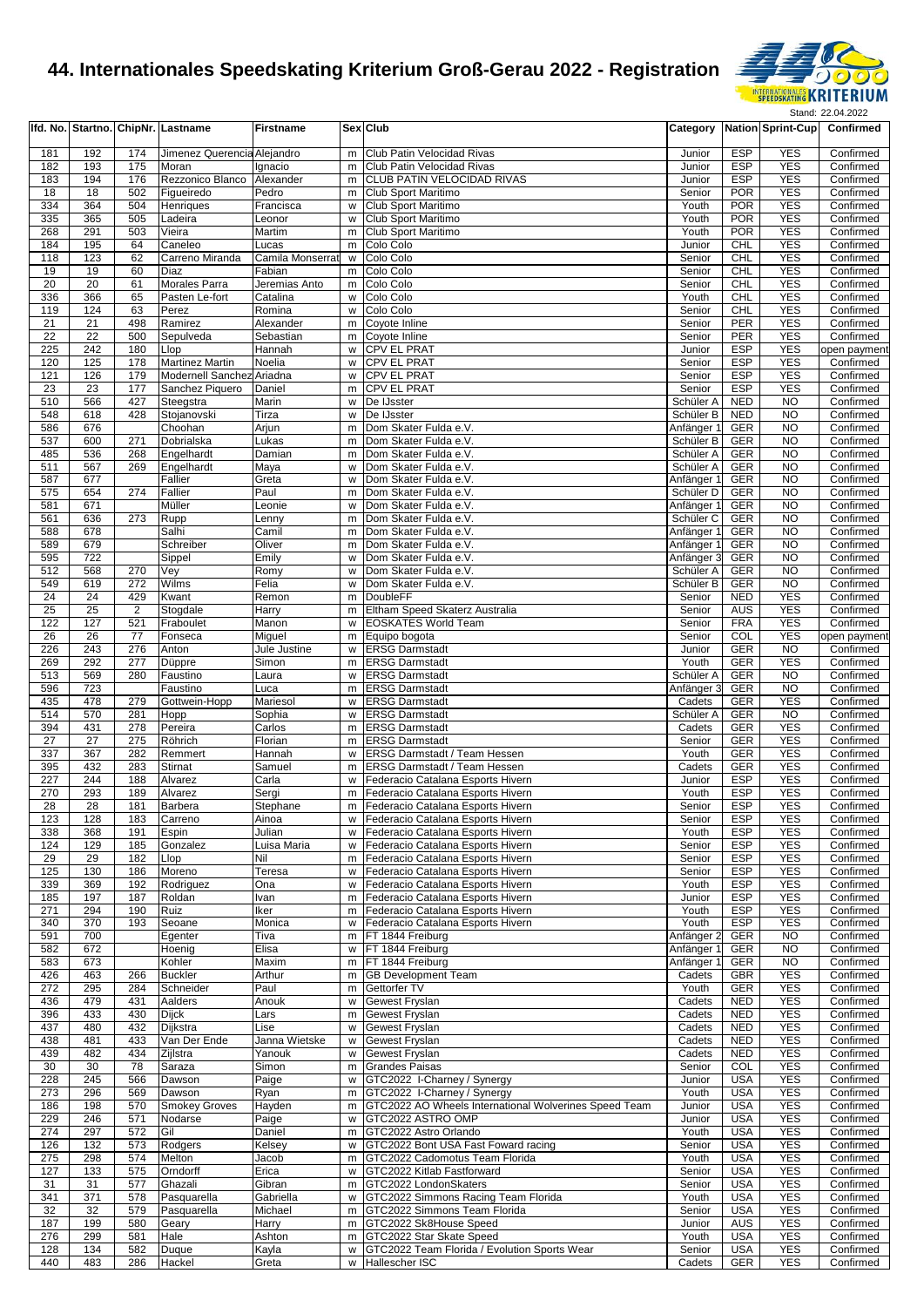

|            |            |                | Ifd. No. Startno. ChipNr. Lastname           | <b>Firstname</b>           |        | <b>Sex Club</b>                                                              |                          |                          | <b>Category Nation Sprint-Cup</b> | Confirmed              |
|------------|------------|----------------|----------------------------------------------|----------------------------|--------|------------------------------------------------------------------------------|--------------------------|--------------------------|-----------------------------------|------------------------|
| 181        | 192        | 174            | Jimenez Querencia Alejandro                  |                            | m      | Club Patin Velocidad Rivas                                                   | Junior                   | <b>ESP</b>               | <b>YES</b>                        | Confirmed              |
| 182        | 193        | 175            | Moran                                        | Ignacio                    | m      | Club Patin Velocidad Rivas                                                   | Junior                   | <b>ESP</b>               | <b>YES</b>                        | Confirmed              |
| 183        | 194        | 176            | Rezzonico Blanco Alexander                   |                            | m      | <b>CLUB PATIN VELOCIDAD RIVAS</b>                                            | Junior                   | <b>ESP</b>               | <b>YES</b>                        | Confirmed              |
| 18         | 18         | 502            | Figueiredo                                   | Pedro                      | m      | Club Sport Maritimo                                                          | Senior                   | <b>POR</b>               | <b>YES</b>                        | Confirmed              |
| 334        | 364        | 504            | Henriques                                    | Francisca                  | W      | Club Sport Maritimo                                                          | Youth                    | <b>POR</b>               | <b>YES</b>                        | Confirmed              |
| 335        | 365        | 505            | Ladeira                                      | Leonor                     | W      | Club Sport Maritimo                                                          | Youth                    | <b>POR</b>               | <b>YES</b>                        | Confirmed              |
| 268        | 291        | 503            | Vieira                                       | Martim                     | m      | Club Sport Maritimo                                                          | Youth                    | <b>POR</b>               | <b>YES</b>                        | Confirmed              |
| 184        | 195        | 64             | Caneleo                                      | Lucas                      | m      | Colo Colo                                                                    | Junior                   | <b>CHL</b>               | <b>YES</b><br><b>YES</b>          | Confirmed              |
| 118<br>19  | 123<br>19  | 62<br>60       | Carreno Miranda<br>Diaz                      | Camila Monserrat<br>Fabian | W<br>m | Colo Colo<br>Colo Colo                                                       | Senior<br>Senior         | <b>CHL</b><br><b>CHL</b> | <b>YES</b>                        | Confirmed<br>Confirmed |
| 20         | 20         | 61             | <b>Morales Parra</b>                         | Jeremias Anto              | m      | Colo Colo                                                                    | Senior                   | CHL                      | <b>YES</b>                        | Confirmed              |
| 336        | 366        | 65             | Pasten Le-fort                               | Catalina                   | W      | Colo Colo                                                                    | Youth                    | <b>CHL</b>               | <b>YES</b>                        | Confirmed              |
| 119        | 124        | 63             | Perez                                        | Romina                     | W      | Colo Colo                                                                    | Senior                   | <b>CHL</b>               | <b>YES</b>                        | Confirmed              |
| 21         | 21         | 498            | Ramirez                                      | Alexander                  |        | m Coyote Inline                                                              | Senior                   | PER                      | <b>YES</b>                        | Confirmed              |
| 22         | 22         | 500            | Sepulveda                                    | Sebastian                  |        | m Coyote Inline                                                              | Senior                   | <b>PER</b>               | <b>YES</b>                        | Confirmed              |
| 225        | 242        | 180            | Llop                                         | Hannah                     | w      | <b>CPV EL PRAT</b>                                                           | Junior                   | <b>ESP</b>               | <b>YES</b>                        | open payment           |
| 120        | 125        | 178            | <b>Martinez Martin</b>                       | Noelia                     |        | w CPV EL PRAT                                                                | Senior                   | <b>ESP</b>               | <b>YES</b>                        | Confirmed              |
| 121<br>23  | 126<br>23  | 179<br>177     | Modernell Sanchez Ariadna<br>Sanchez Piquero | Daniel                     | W<br>m | <b>CPV EL PRAT</b><br><b>CPV EL PRAT</b>                                     | Senior<br>Senior         | <b>ESP</b><br><b>ESP</b> | <b>YES</b><br><b>YES</b>          | Confirmed<br>Confirmed |
| 510        | 566        | 427            | Steegstra                                    | Marin                      | W      | De IJsster                                                                   | Schüler A                | <b>NED</b>               | <b>NO</b>                         | Confirmed              |
| 548        | 618        | 428            | Stojanovski                                  | Tirza                      | W      | De IJsster                                                                   | Schüler B                | <b>NED</b>               | <b>NO</b>                         | Confirmed              |
| 586        | 676        |                | Choohan                                      | Arjun                      | m      | Dom Skater Fulda e.V.                                                        | Anfänger 1               | <b>GER</b>               | N <sub>O</sub>                    | Confirmed              |
| 537        | 600        | 271            | Dobrialska                                   | Lukas                      |        | m Dom Skater Fulda e.V.                                                      | Schüler B                | GER                      | N <sub>O</sub>                    | Confirmed              |
| 485        | 536        | 268            | Engelhardt                                   | Damian                     |        | m Dom Skater Fulda e.V.                                                      | Schüler A                | <b>GER</b>               | N <sub>O</sub>                    | Confirmed              |
| 511        | 567        | 269            | Engelhardt                                   | Maya                       | W      | Dom Skater Fulda e.V.                                                        | Schüler A                | GER                      | <b>NO</b>                         | Confirmed              |
| 587        | 677        |                | Fallier                                      | Greta                      | W      | Dom Skater Fulda e.V.                                                        | Anfänger 1               | <b>GER</b>               | <b>NO</b>                         | Confirmed              |
| 575        | 654        | 274            | Fallier                                      | Paul                       | m      | Dom Skater Fulda e.V.                                                        | Schüler D                | <b>GER</b>               | N <sub>O</sub>                    | Confirmed              |
| 581        | 671        |                | Müller                                       | Leonie                     | W      | Dom Skater Fulda e.V.                                                        | Anfänger 1               | GER                      | N <sub>O</sub>                    | Confirmed              |
| 561        | 636<br>678 | 273            | Rupp                                         | Lenny                      |        | m Dom Skater Fulda e.V.<br>Dom Skater Fulda e.V.                             | Schüler C                | <b>GER</b><br>GER        | N <sub>O</sub><br><b>NO</b>       | Confirmed              |
| 588<br>589 | 679        |                | Salhi<br>Schreiber                           | Camil<br>Oliver            | m<br>m | Dom Skater Fulda e.V.                                                        | Anfänger 1<br>Anfänger 1 | <b>GER</b>               | <b>NO</b>                         | Confirmed<br>Confirmed |
| 595        | 722        |                | Sippel                                       | Emily                      | W      | Dom Skater Fulda e.V.                                                        | Anfänger 3               | <b>GER</b>               | N <sub>O</sub>                    | Confirmed              |
| 512        | 568        | 270            | Vey                                          | Romy                       | w      | Dom Skater Fulda e.V.                                                        | Schüler A                | <b>GER</b>               | <b>NO</b>                         | Confirmed              |
| 549        | 619        | 272            | Wilms                                        | Felia                      | W      | Dom Skater Fulda e.V.                                                        | Schüler B                | GER                      | N <sub>O</sub>                    | Confirmed              |
| 24         | 24         | 429            | Kwant                                        | Remon                      |        | m DoubleFF                                                                   | Senior                   | <b>NED</b>               | <b>YES</b>                        | Confirmed              |
| 25         | 25         | $\overline{2}$ | Stogdale                                     | Harry                      | m      | Eltham Speed Skaterz Australia                                               | Senior                   | <b>AUS</b>               | <b>YES</b>                        | Confirmed              |
| 122        | 127        | 521            | Fraboulet                                    | Manon                      | W      | <b>EOSKATES World Team</b>                                                   | Senior                   | <b>FRA</b>               | <b>YES</b>                        | Confirmed              |
| 26         | 26         | 77             | Fonseca                                      | Miguel                     |        | m Equipo bogota                                                              | Senior                   | COL                      | <b>YES</b>                        | open payment           |
| 226        | 243        | 276            | Anton                                        | Jule Justine               | W      | <b>ERSG Darmstadt</b>                                                        | Junior                   | <b>GER</b>               | <b>NO</b>                         | Confirmed              |
| 269        | 292        | 277            | Düppre                                       | Simon                      |        | m ERSG Darmstadt                                                             | Youth                    | <b>GER</b>               | <b>YES</b>                        | Confirmed              |
| 513        | 569        | 280            | Faustino                                     | Laura                      | w      | <b>ERSG Darmstadt</b>                                                        | Schüler A                | <b>GER</b>               | N <sub>O</sub>                    | Confirmed              |
| 596        | 723        |                | Faustino                                     | Luca                       | m      | <b>ERSG Darmstadt</b>                                                        | Anfänger 3               | GER                      | N <sub>O</sub>                    | Confirmed              |
| 435        | 478        | 279            | Gottwein-Hopp                                | Mariesol                   |        | w <b>ERSG</b> Darmstadt                                                      | Cadets                   | <b>GER</b>               | <b>YES</b>                        | Confirmed              |
| 514<br>394 | 570<br>431 | 281<br>278     | Hopp<br>Pereira                              | Sophia<br>Carlos           |        | w <b>ERSG</b> Darmstadt<br>m <b>ERSG</b> Darmstadt                           | Schüler A<br>Cadets      | <b>GER</b><br><b>GER</b> | <b>NO</b><br><b>YES</b>           | Confirmed<br>Confirmed |
| 27         | 27         | 275            | Röhrich                                      | Florian                    | m      | <b>ERSG Darmstadt</b>                                                        | Senior                   | <b>GER</b>               | <b>YES</b>                        | Confirmed              |
| 337        | 367        | 282            | Remmert                                      | Hannah                     |        | w ERSG Darmstadt / Team Hessen                                               | Youth                    | <b>GER</b>               | <b>YES</b>                        | Confirmed              |
| 395        | 432        | 283            | Stirnat                                      | Samuel                     |        | m ERSG Darmstadt / Team Hessen                                               | Cadets                   | <b>GER</b>               | <b>YES</b>                        | Confirmed              |
| 227        | 244        | 188            | Alvarez                                      | Carla                      |        | w Federacio Catalana Esports Hivern                                          | Junior                   | <b>ESP</b>               | <b>YES</b>                        | Confirmed              |
| 270        | 293        | 189            | Alvarez                                      | Sergi                      | m      | Federacio Catalana Esports Hivern                                            | Youth                    | <b>ESP</b>               | <b>YES</b>                        | Confirmed              |
| 28         | 28         | 181            | <b>Barbera</b>                               | Stephane                   | m      | Federacio Catalana Esports Hivern                                            | Senior                   | <b>ESP</b>               | <b>YES</b>                        | Confirmed              |
| 123        | 128        | 183            | Carreno                                      | Ainoa                      |        | w Federacio Catalana Esports Hivern                                          | Senior                   | <b>ESP</b>               | <b>YES</b>                        | Confirmed              |
| 338        | 368        | 191            | Espin                                        | Julian                     |        | w Federacio Catalana Esports Hivern                                          | Youth                    | ESP                      | <b>YES</b>                        | Confirmed              |
| 124        | 129        | 185            | Gonzalez                                     | Luisa Maria                | w      | Federacio Catalana Esports Hivern                                            | Senior                   | <b>ESP</b>               | <b>YES</b>                        | Confirmed              |
| 29         | 29         | 182            | Llop                                         | Nil                        | m      | Federacio Catalana Esports Hivern                                            | Senior                   | <b>ESP</b>               | <b>YES</b>                        | Confirmed              |
| 125        | 130        | 186            | Moreno                                       | Teresa                     | w      | Federacio Catalana Esports Hivern                                            | Senior                   | <b>ESP</b>               | <b>YES</b>                        | Confirmed              |
| 339        | 369        | 192<br>187     | Rodriguez<br>Roldan                          | Ona                        | w      | Federacio Catalana Esports Hivern<br>m Federacio Catalana Esports Hivern     | Youth                    | <b>ESP</b><br><b>ESP</b> | <b>YES</b><br><b>YES</b>          | Confirmed<br>Confirmed |
| 185<br>271 | 197<br>294 | 190            | Ruiz                                         | Ivan<br>Iker               |        | m Federacio Catalana Esports Hivern                                          | Junior<br>Youth          | <b>ESP</b>               | <b>YES</b>                        | Confirmed              |
| 340        | 370        | 193            | Seoane                                       | Monica                     | W      | Federacio Catalana Esports Hivern                                            | Youth                    | <b>ESP</b>               | <b>YES</b>                        | Confirmed              |
| 591        | 700        |                | Egenter                                      | Tiva                       | m      | FT 1844 Freiburg                                                             | Anfänger 2               | <b>GER</b>               | <b>NO</b>                         | Confirmed              |
| 582        | 672        |                | Hoenig                                       | Elisa                      |        | w FT 1844 Freiburg                                                           | Anfänger 1               | GER                      | <b>NO</b>                         | Confirmed              |
| 583        | 673        |                | Kohler                                       | Maxim                      |        | m FT 1844 Freiburg                                                           | Anfänger 1               | <b>GER</b>               | <b>NO</b>                         | Confirmed              |
| 426        | 463        | 266            | <b>Buckler</b>                               | Arthur                     |        | m GB Development Team                                                        | Cadets                   | <b>GBR</b>               | <b>YES</b>                        | Confirmed              |
| 272        | 295        | 284            | Schneider                                    | Paul                       |        | m Gettorfer TV                                                               | Youth                    | <b>GER</b>               | <b>YES</b>                        | Confirmed              |
| 436        | 479        | 431            | Aalders                                      | Anouk                      | w      | <b>Gewest Fryslan</b>                                                        | Cadets                   | <b>NED</b>               | <b>YES</b>                        | Confirmed              |
| 396        | 433        | 430            | Dijck                                        | Lars                       | m      | Gewest Fryslan                                                               | Cadets                   | <b>NED</b>               | <b>YES</b>                        | Confirmed              |
| 437        | 480        | 432            | Dijkstra                                     | Lise                       | W      | <b>Gewest Fryslan</b>                                                        | Cadets                   | <b>NED</b>               | <b>YES</b>                        | Confirmed              |
| 438        | 481<br>482 | 433            | Van Der Ende                                 | Janna Wietske              | w      | Gewest Fryslan                                                               | Cadets                   | <b>NED</b>               | <b>YES</b>                        | Confirmed              |
| 439<br>30  | 30         | 434<br>78      | Zijlstra<br>Saraza                           | Yanouk<br>Simon            | w<br>m | <b>Gewest Fryslan</b><br><b>Grandes Paisas</b>                               | Cadets<br>Senior         | <b>NED</b><br>COL        | <b>YES</b><br><b>YES</b>          | Confirmed<br>Confirmed |
| 228        | 245        | 566            | Dawson                                       | Paige                      |        | w GTC2022 I-Charney / Synergy                                                | Junior                   | <b>USA</b>               | <b>YES</b>                        | Confirmed              |
| 273        | 296        | 569            | Dawson                                       | Ryan                       |        | m GTC2022 I-Charney / Synergy                                                | Youth                    | <b>USA</b>               | <b>YES</b>                        | Confirmed              |
| 186        | 198        | 570            | <b>Smokey Groves</b>                         | Hayden                     |        | m GTC2022 AO Wheels International Wolverines Speed Team                      | Junior                   | <b>USA</b>               | <b>YES</b>                        | Confirmed              |
| 229        | 246        | 571            | Nodarse                                      | Paige                      |        | w GTC2022 ASTRO OMP                                                          | Junior                   | <b>USA</b>               | <b>YES</b>                        | Confirmed              |
| 274        | 297        | 572            | Gil                                          | Daniel                     | m      | GTC2022 Astro Orlando                                                        | Youth                    | <b>USA</b>               | <b>YES</b>                        | Confirmed              |
| 126        | 132        | 573            | Rodgers                                      | Kelsey                     |        | w GTC2022 Bont USA Fast Foward racing                                        | Senior                   | <b>USA</b>               | <b>YES</b>                        | Confirmed              |
| 275        | 298        | 574            | Melton                                       | Jacob                      |        | m GTC2022 Cadomotus Team Florida                                             | Youth                    | <b>USA</b>               | <b>YES</b>                        | Confirmed              |
| 127        | 133        | 575            | Orndorff                                     | Erica                      |        | w GTC2022 Kitlab Fastforward                                                 | Senior                   | <b>USA</b>               | <b>YES</b>                        | Confirmed              |
| 31         | 31         | 577            | Ghazali                                      | Gibran                     |        | m GTC2022 LondonSkaters                                                      | Senior                   | <b>USA</b>               | <b>YES</b>                        | Confirmed              |
| 341        | 371        | 578            | Pasquarella                                  | Gabriella                  |        | w GTC2022 Simmons Racing Team Florida                                        | Youth                    | <b>USA</b>               | <b>YES</b>                        | Confirmed              |
| 32         | 32         | 579            | Pasquarella                                  | Michael                    | m      | GTC2022 Simmons Team Florida                                                 | Senior                   | <b>USA</b>               | <b>YES</b>                        | Confirmed              |
| 187        | 199        | 580            | Geary                                        | Harry                      |        | m GTC2022 Sk8House Speed                                                     | Junior<br>Youth          | AUS<br><b>USA</b>        | <b>YES</b>                        | Confirmed              |
| 276<br>128 | 299<br>134 | 581<br>582     | Hale<br>Duque                                | Ashton<br>Kayla            |        | m GTC2022 Star Skate Speed<br>w GTC2022 Team Florida / Evolution Sports Wear | Senior                   | <b>USA</b>               | <b>YES</b><br><b>YES</b>          | Confirmed<br>Confirmed |
| 440        | 483        | 286            | Hackel                                       | Greta                      |        | w Hallescher ISC                                                             | Cadets                   | <b>GER</b>               | <b>YES</b>                        | Confirmed              |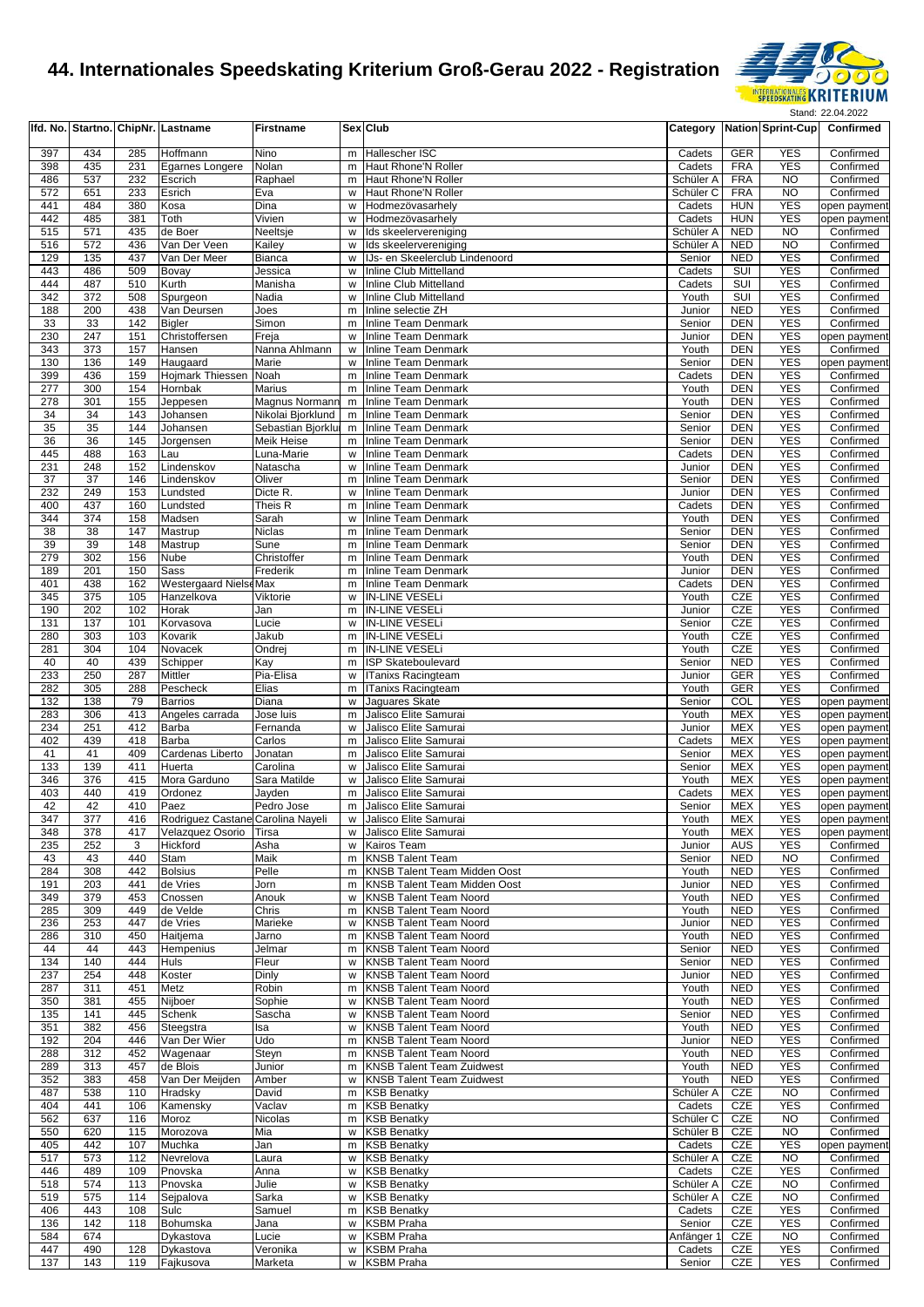

|            |            |            | Ifd. No. Startno. ChipNr. Lastname         | <b>Firstname</b>        |        | Sex Club                                                       |                      |                          | Category Nation Sprint-Cup | Confirmed              |
|------------|------------|------------|--------------------------------------------|-------------------------|--------|----------------------------------------------------------------|----------------------|--------------------------|----------------------------|------------------------|
|            |            |            |                                            |                         |        |                                                                |                      |                          |                            | Confirmed              |
| 397        | 434        | 285        | Hoffmann                                   | Nino                    | m      | Hallescher ISC                                                 | Cadets               | GER                      | <b>YES</b>                 |                        |
| 398<br>486 | 435<br>537 | 231<br>232 | Egarnes Longere                            | Nolan<br>Raphael        | m<br>m | Haut Rhone'N Roller<br>Haut Rhone'N Roller                     | Cadets<br>Schüler A  | <b>FRA</b><br><b>FRA</b> | <b>YES</b><br><b>NO</b>    | Confirmed<br>Confirmed |
| 572        | 651        | 233        | Escrich<br>Esrich                          | Eva                     | w      | Haut Rhone'N Roller                                            | Schüler C            | <b>FRA</b>               | <b>NO</b>                  | Confirmed              |
| 441        | 484        | 380        | Kosa                                       | Dina                    | W      | Hodmezövasarhely                                               | Cadets               | <b>HUN</b>               | <b>YES</b>                 | open payment           |
| 442        | 485        | 381        | Toth                                       | Vivien                  | w      | Hodmezövasarhely                                               | Cadets               | <b>HUN</b>               | <b>YES</b>                 | open payment           |
| 515        | 571        | 435        | de Boer                                    | Neeltsje                | W      | Ids skeelervereniging                                          | Schüler A            | <b>NED</b>               | <b>NO</b>                  | Confirmed              |
| 516        | 572        | 436        | Van Der Veen                               | Kailey                  | w      | Ids skeelervereniging                                          | Schüler A            | <b>NED</b>               | <b>NO</b>                  | Confirmed              |
| 129        | 135        | 437        | Van Der Meer                               | Bianca                  | w      | IJs- en Skeelerclub Lindenoord                                 | Senior               | <b>NED</b>               | <b>YES</b>                 | Confirmed              |
| 443        | 486        | 509        | Bovay                                      | Jessica                 | W      | Inline Club Mittelland                                         | Cadets               | SUI                      | <b>YES</b>                 | Confirmed              |
| 444        | 487        | 510        | Kurth                                      | Manisha                 | W      | Inline Club Mittelland                                         | Cadets               | SUI                      | <b>YES</b>                 | Confirmed              |
| 342        | 372        | 508        | Spurgeon                                   | Nadia                   | W      | <b>Inline Club Mittelland</b>                                  | Youth                | SUI                      | <b>YES</b>                 | Confirmed              |
| 188        | 200        | 438        | Van Deursen                                | Joes                    | m      | Inline selectie ZH                                             | Junior               | <b>NED</b>               | <b>YES</b>                 | Confirmed              |
| 33         | 33         | 142        | <b>Bigler</b>                              | Simon                   | m      | Inline Team Denmark                                            | Senior               | <b>DEN</b>               | <b>YES</b>                 | Confirmed              |
| 230        | 247        | 151        | Christoffersen                             | Freja                   | W      | <b>Inline Team Denmark</b>                                     | Junior               | DEN                      | <b>YES</b>                 | open payment           |
| 343        | 373        | 157        | Hansen                                     | Nanna Ahlmann           | W      | <b>Inline Team Denmark</b>                                     | Youth                | <b>DEN</b>               | <b>YES</b>                 | Confirmed              |
| 130        | 136        | 149        | Haugaard                                   | Marie                   | W      | Inline Team Denmark                                            | Senior               | DEN                      | <b>YES</b>                 | open payment           |
| 399        | 436        | 159        | <b>Hojmark Thiessen</b>                    | Noah                    | m      | <b>Inline Team Denmark</b>                                     | Cadets               | DEN                      | <b>YES</b>                 | Confirmed              |
| 277        | 300        | 154        | Hornbak                                    | Marius                  | m      | <b>Inline Team Denmark</b>                                     | Youth                | DEN                      | <b>YES</b>                 | Confirmed              |
| 278        | 301        | 155        | Jeppesen                                   | Magnus Normann          | m      | <b>Inline Team Denmark</b>                                     | Youth                | DEN                      | <b>YES</b>                 | Confirmed              |
| 34         | 34         | 143        | Johansen                                   | Nikolai Bjorklund       | m      | <b>Inline Team Denmark</b>                                     | Senior               | <b>DEN</b>               | <b>YES</b>                 | Confirmed              |
| 35         | 35         | 144        | Johansen                                   | Sebastian Bjorklur      | m      | <b>Inline Team Denmark</b>                                     | Senior               | DEN                      | <b>YES</b>                 | Confirmed              |
| 36         | 36         | 145        | Jorgensen                                  | Meik Heise              | m      | Inline Team Denmark                                            | Senior               | DEN                      | <b>YES</b>                 | Confirmed              |
| 445        | 488        | 163        | Lau                                        | Luna-Marie              | w      | <b>Inline Team Denmark</b>                                     | Cadets               | <b>DEN</b>               | <b>YES</b>                 | Confirmed              |
| 231        | 248        | 152        | Lindenskov                                 | Natascha                | W      | <b>Inline Team Denmark</b>                                     | Junior               | DEN                      | <b>YES</b>                 | Confirmed              |
| 37         | 37         | 146        | Lindenskov                                 | Oliver                  | m      | <b>Inline Team Denmark</b>                                     | Senior               | DEN                      | <b>YES</b>                 | Confirmed              |
| 232        | 249        | 153        | Lundsted                                   | Dicte R.                | W      | Inline Team Denmark                                            | Junior               | DEN                      | <b>YES</b>                 | Confirmed              |
| 400        | 437        | 160        | Lundsted                                   | Theis R                 | m      | <b>Inline Team Denmark</b>                                     | Cadets               | DEN                      | <b>YES</b>                 | Confirmed              |
| 344        | 374        | 158        | Madsen                                     | Sarah                   | w      | <b>Inline Team Denmark</b>                                     | Youth                | <b>DEN</b>               | <b>YES</b>                 | Confirmed              |
| 38         | 38         | 147        | Mastrup                                    | Niclas                  | m      | <b>Inline Team Denmark</b>                                     | Senior               | DEN                      | <b>YES</b>                 | Confirmed              |
| 39         | 39         | 148        | Mastrup                                    | Sune                    | m      | <b>Inline Team Denmark</b>                                     | Senior               | <b>DEN</b>               | <b>YES</b>                 | Confirmed              |
| 279<br>189 | 302<br>201 | 156<br>150 | Nube                                       | Christoffer<br>Frederik | m<br>m | Inline Team Denmark<br><b>Inline Team Denmark</b>              | Youth                | DEN<br>DEN               | <b>YES</b><br><b>YES</b>   | Confirmed<br>Confirmed |
| 401        | 438        |            | Sass                                       |                         |        |                                                                | Junior               |                          | <b>YES</b>                 |                        |
| 345        | 375        | 162<br>105 | <b>Westergaard NielseMax</b><br>Hanzelkova | Viktorie                | m<br>W | <b>Inline Team Denmark</b><br>IN-LINE VESELI                   | Cadets<br>Youth      | DEN<br>CZE               | <b>YES</b>                 | Confirmed<br>Confirmed |
| 190        | 202        | 102        | Horak                                      | Jan                     | m      | <b>IN-LINE VESELI</b>                                          | Junior               | CZE                      | <b>YES</b>                 | Confirmed              |
| 131        | 137        | 101        | Korvasova                                  | Lucie                   | W      | <b>IN-LINE VESELI</b>                                          | Senior               | CZE                      | <b>YES</b>                 | Confirmed              |
| 280        | 303        | 103        | Kovarik                                    | Jakub                   | m      | <b>IN-LINE VESELi</b>                                          | Youth                | CZE                      | <b>YES</b>                 | Confirmed              |
| 281        | 304        | 104        | Novacek                                    | Ondrej                  | m      | <b>IN-LINE VESELI</b>                                          | Youth                | CZE                      | <b>YES</b>                 | Confirmed              |
| 40         | 40         | 439        | Schipper                                   | Kay                     | m      | <b>ISP Skateboulevard</b>                                      | Senior               | <b>NED</b>               | <b>YES</b>                 | Confirmed              |
| 233        | 250        | 287        | Mittler                                    | Pia-Elisa               | w      | <b>ITanixs Racingteam</b>                                      | Junior               | <b>GER</b>               | <b>YES</b>                 | Confirmed              |
| 282        | 305        | 288        | Pescheck                                   | Elias                   | m      | <b>ITanixs Racingteam</b>                                      | Youth                | GER                      | <b>YES</b>                 | Confirmed              |
| 132        | 138        | 79         | <b>Barrios</b>                             | Diana                   | w      | Jaguares Skate                                                 | Senior               | COL                      | <b>YES</b>                 | open payment           |
| 283        | 306        | 413        | Angeles carrada                            | Jose luis               | m      | Jalisco Elite Samurai                                          | Youth                | <b>MEX</b>               | <b>YES</b>                 | open payment           |
| 234        | 251        | 412        | Barba                                      | Fernanda                | w      | Jalisco Elite Samurai                                          | Junior               | <b>MEX</b>               | <b>YES</b>                 | open payment           |
| 402        | 439        | 418        | <b>Barba</b>                               | Carlos                  | m      | Jalisco Elite Samurai                                          | Cadets               | <b>MEX</b>               | <b>YES</b>                 | open payment           |
| 41         | 41         | 409        | Cardenas Liberto                           | Jonatan                 | m      | Jalisco Elite Samurai                                          | Senior               | <b>MEX</b>               | <b>YES</b>                 | open payment           |
| 133        | 139        | 411        | Huerta                                     | Carolina                | W      | Jalisco Elite Samurai                                          | Senior               | <b>MEX</b>               | <b>YES</b>                 | open payment           |
| 346        | 376        | 415        | Mora Garduno                               | Sara Matilde            | w      | Jalisco Elite Samurai                                          | Youth                | <b>MEX</b>               | <b>YES</b>                 | open payment           |
| 403        | 440        | 419        | Ordonez                                    | Jayden                  | m      | Jalisco Elite Samurai                                          | Cadets               | <b>MEX</b>               | <b>YES</b>                 | open payment           |
| 42         | 42         | 410        | Paez                                       | Pedro Jose              | m      | Jalisco Elite Samurai                                          | Senior               | <b>MEX</b>               | <b>YES</b>                 | open payment           |
| 347        | 377        | 416        | Rodriguez Castane Carolina Nayeli          |                         |        | w Jalisco Elite Samurai                                        | Youth                | MEX                      | <b>YES</b>                 | open payment           |
| 348        | 378        | 417        | Velazquez Osorio Tirsa                     |                         | W      | Jalisco Elite Samurai                                          | Youth                | MEX                      | <b>YES</b>                 | open payment           |
| 235        | 252        | 3          | Hickford                                   | Asha                    | w      | Kairos Team                                                    | Junior               | AUS                      | <b>YES</b>                 | Confirmed              |
| 43         | 43         | 440        | Stam                                       | Maik                    | m      | <b>KNSB Talent Team</b>                                        | Senior               | <b>NED</b>               | <b>NO</b>                  | Confirmed              |
| 284        | 308        | 442        | <b>Bolsius</b>                             | Pelle                   | m      | KNSB Talent Team Midden Oost                                   | Youth                | <b>NED</b>               | <b>YES</b>                 | Confirmed              |
| 191        | 203        | 441        | de Vries                                   | Jorn                    | m      | <b>KNSB Talent Team Midden Oost</b>                            | Junior               | <b>NED</b>               | <b>YES</b>                 | Confirmed              |
| 349        | 379        | 453        | Cnossen                                    | Anouk                   | w      | <b>KNSB Talent Team Noord</b>                                  | Youth                | <b>NED</b>               | <b>YES</b>                 | Confirmed              |
| 285        | 309        | 449        | de Velde                                   | Chris                   | m      | <b>KNSB Talent Team Noord</b>                                  | Youth                | <b>NED</b>               | <b>YES</b>                 | Confirmed              |
| 236        | 253        | 447        | de Vries                                   | Marieke                 | w      | <b>KNSB Talent Team Noord</b>                                  | Junior               | <b>NED</b>               | <b>YES</b>                 | Confirmed              |
| 286        | 310        | 450        | Haitjema                                   | Jarno                   | m      | <b>KNSB Talent Team Noord</b>                                  | Youth                | <b>NED</b>               | <b>YES</b>                 | Confirmed              |
| 44         | 44         | 443        | Hempenius                                  | Jelmar                  | m      | <b>KNSB Talent Team Noord</b>                                  | Senior               | <b>NED</b>               | <b>YES</b>                 | Confirmed              |
| 134<br>237 | 140<br>254 | 444<br>448 | <b>Huls</b><br>Koster                      | Fleur<br>Dinly          | w<br>w | <b>KNSB Talent Team Noord</b><br><b>KNSB Talent Team Noord</b> | Senior<br>Junior     | <b>NED</b><br>NED        | <b>YES</b><br><b>YES</b>   | Confirmed<br>Confirmed |
| 287        | 311        | 451        | Metz                                       | Robin                   | m      | <b>KNSB Talent Team Noord</b>                                  | Youth                | <b>NED</b>               | <b>YES</b>                 | Confirmed              |
| 350        | 381        | 455        | Nijboer                                    | Sophie                  | w      | <b>KNSB Talent Team Noord</b>                                  | Youth                | <b>NED</b>               | <b>YES</b>                 | Confirmed              |
| 135        | 141        | 445        | Schenk                                     | Sascha                  | w      | <b>KNSB Talent Team Noord</b>                                  | Senior               | <b>NED</b>               | <b>YES</b>                 | Confirmed              |
| 351        | 382        | 456        | Steegstra                                  | Isa                     | w      | <b>KNSB Talent Team Noord</b>                                  | Youth                | <b>NED</b>               | <b>YES</b>                 | Confirmed              |
| 192        | 204        | 446        | Van Der Wier                               | Udo                     | m      | <b>KNSB Talent Team Noord</b>                                  | Junior               | NED                      | <b>YES</b>                 | Confirmed              |
| 288        | 312        | 452        | Wagenaar                                   | Steyn                   | m      | <b>KNSB Talent Team Noord</b>                                  | Youth                | <b>NED</b>               | <b>YES</b>                 | Confirmed              |
| 289        | 313        | 457        | de Blois                                   | Junior                  | m      | <b>KNSB Talent Team Zuidwest</b>                               | Youth                | <b>NED</b>               | <b>YES</b>                 | Confirmed              |
| 352        | 383        | 458        | Van Der Meijden                            | Amber                   | w      | <b>KNSB Talent Team Zuidwest</b>                               | Youth                | <b>NED</b>               | <b>YES</b>                 | Confirmed              |
| 487        | 538        | 110        | Hradsky                                    | David                   | m      | <b>KSB Benatky</b>                                             | Schüler A            | CZE                      | <b>NO</b>                  | Confirmed              |
| 404        | 441        | 106        | Kamensky                                   | Vaclav                  | m      | <b>KSB Benatky</b>                                             | Cadets               | CZE                      | <b>YES</b>                 | Confirmed              |
| 562        | 637        | 116        | Moroz                                      | Nicolas                 | m      | <b>KSB Benatky</b>                                             | Schüler <sub>C</sub> | CZE                      | <b>NO</b>                  | Confirmed              |
| 550        | 620        | 115        | Morozova                                   | Mia                     | W      | <b>KSB Benatky</b>                                             | Schüler B            | CZE                      | <b>NO</b>                  | Confirmed              |
| 405        | 442        | 107        | Muchka                                     | Jan                     | m      | <b>KSB Benatky</b>                                             | Cadets               | CZE                      | <b>YES</b>                 | open payment           |
| 517        | 573        | 112        | Nevrelova                                  | Laura                   | w      | <b>KSB Benatky</b>                                             | Schüler A            | CZE                      | <b>NO</b>                  | Confirmed              |
| 446        | 489        | 109        | Pnovska                                    | Anna                    | W      | <b>KSB Benatky</b>                                             | Cadets               | CZE                      | <b>YES</b>                 | Confirmed              |
| 518        | 574        | 113        | Pnovska                                    | Julie                   | W      | <b>KSB Benatky</b>                                             | Schüler A            | CZE                      | <b>NO</b>                  | Confirmed              |
| 519        | 575        | 114        | Sejpalova                                  | Sarka                   | w      | <b>KSB Benatky</b>                                             | Schüler A            | CZE                      | <b>NO</b>                  | Confirmed              |
| 406        | 443        | 108        | Sulc                                       | Samuel                  | m      | <b>KSB Benatky</b>                                             | Cadets               | CZE                      | <b>YES</b>                 | Confirmed              |
| 136        | 142        | 118        | Bohumska                                   | Jana                    | w      | <b>KSBM Praha</b>                                              | Senior               | CZE                      | <b>YES</b>                 | Confirmed              |
| 584        | 674        |            | Dykastova                                  | Lucie                   | w      | <b>KSBM Praha</b>                                              | Anfänger 1           | CZE                      | NO                         | Confirmed              |
| 447        | 490        | 128        | Dykastova                                  | Veronika                | w      | <b>KSBM Praha</b>                                              | Cadets               | CZE                      | <b>YES</b>                 | Confirmed              |
| 137        | 143        | 119        | Fajkusova                                  | Marketa                 |        | w KSBM Praha                                                   | Senior               | CZE                      | <b>YES</b>                 | Confirmed              |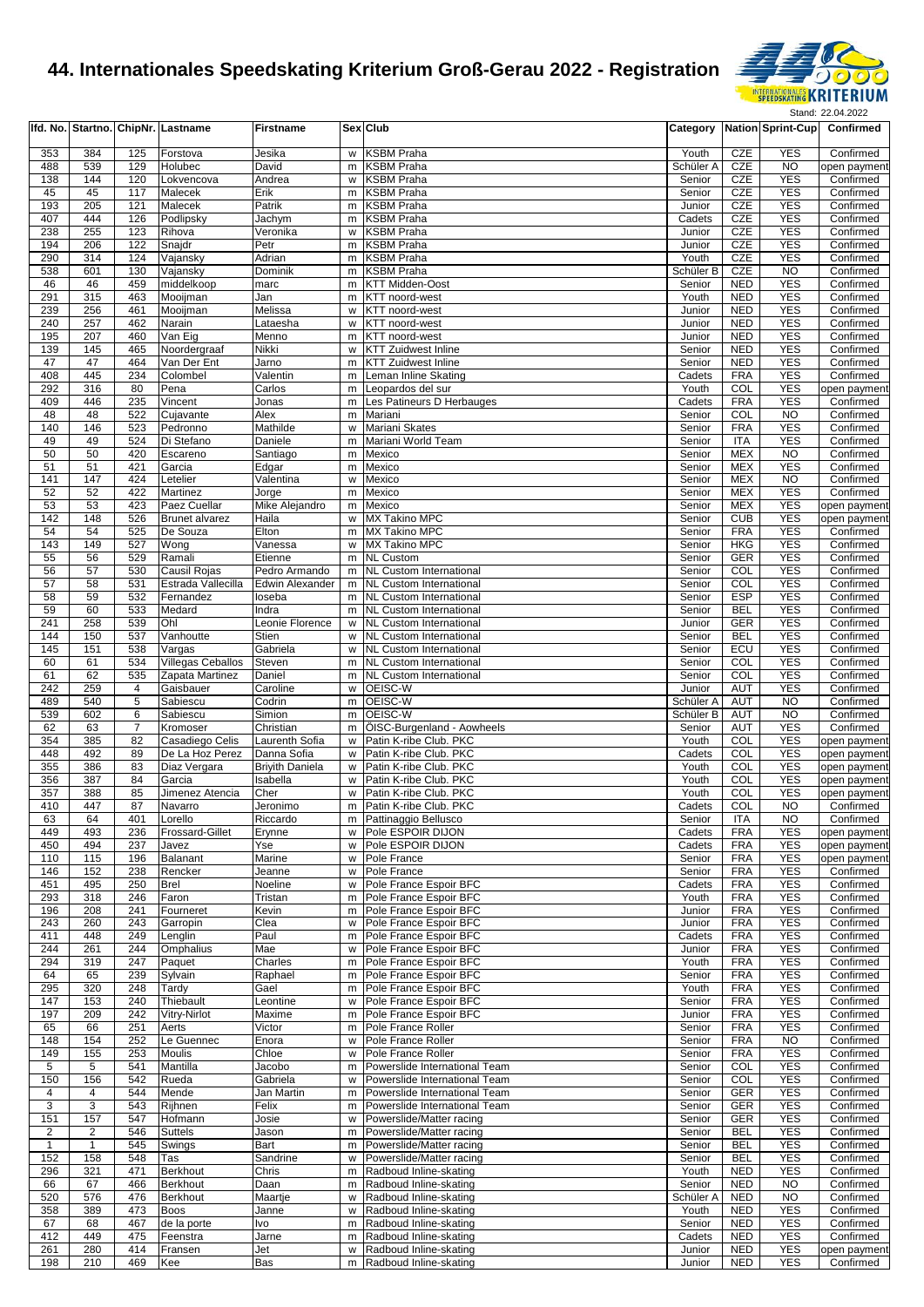

|                |                |                | Ifd. No. Startno. ChipNr. Lastname | <b>Firstname</b>                 |        | Sex Club                                                         |                                |                          | Category Nation Sprint-Cup   | Confirmed                 |
|----------------|----------------|----------------|------------------------------------|----------------------------------|--------|------------------------------------------------------------------|--------------------------------|--------------------------|------------------------------|---------------------------|
| 353            | 384            | 125            | Forstova                           | Jesika                           | w      | <b>KSBM Praha</b>                                                | Youth                          | <b>CZE</b>               | <b>YES</b>                   | Confirmed                 |
| 488            | 539            | 129            | Holubec                            | David                            | m      | <b>KSBM Praha</b>                                                | Schüler A                      | CZE                      | <b>NO</b>                    | open payment              |
| 138            | 144            | 120            | Lokvencova                         | Andrea                           | W      | <b>KSBM Praha</b>                                                | Senior                         | CZE                      | <b>YES</b>                   | Confirmed                 |
| 45<br>193      | 45<br>205      | 117<br>121     | Malecek                            | Erik<br>Patrik                   | m      | <b>KSBM Praha</b><br><b>KSBM Praha</b>                           | Senior                         | <b>CZE</b><br>CZE        | <b>YES</b><br><b>YES</b>     | Confirmed<br>Confirmed    |
| 407            | 444            | 126            | Malecek<br>Podlipsky               | Jachym                           | m<br>m | <b>KSBM Praha</b>                                                | Junior<br>Cadets               | CZE                      | <b>YES</b>                   | Confirmed                 |
| 238            | 255            | 123            | Rihova                             | Veronika                         | w      | <b>KSBM Praha</b>                                                | Junior                         | CZE                      | <b>YES</b>                   | Confirmed                 |
| 194            | 206            | 122            | Snajdr                             | Petr                             | m      | <b>KSBM Praha</b>                                                | Junior                         | CZE                      | <b>YES</b>                   | Confirmed                 |
| 290            | 314            | 124            | Vajansky                           | Adrian                           | m      | <b>KSBM Praha</b>                                                | Youth                          | CZE                      | <b>YES</b>                   | Confirmed                 |
| 538<br>46      | 601<br>46      | 130<br>459     | Vajansky<br>middelkoop             | Dominik<br>marc                  | m<br>m | <b>KSBM Praha</b><br><b>KTT Midden-Oost</b>                      | Schüler B<br>Senior            | CZE<br><b>NED</b>        | <b>NO</b><br><b>YES</b>      | Confirmed<br>Confirmed    |
| 291            | 315            | 463            | Mooijman                           | Jan                              | m      | KTT noord-west                                                   | Youth                          | <b>NED</b>               | <b>YES</b>                   | Confirmed                 |
| 239            | 256            | 461            | Mooijman                           | Melissa                          | W      | KTT noord-west                                                   | Junior                         | <b>NED</b>               | <b>YES</b>                   | Confirmed                 |
| 240            | 257            | 462            | Narain                             | Lataesha                         | W      | KTT noord-west                                                   | Junior                         | <b>NED</b>               | <b>YES</b>                   | Confirmed                 |
| 195            | 207            | 460            | Van Eig                            | Menno                            | m      | KTT noord-west                                                   | Junior                         | <b>NED</b>               | <b>YES</b>                   | Confirmed                 |
| 139<br>47      | 145<br>47      | 465<br>464     | Noordergraaf<br>Van Der Ent        | Nikki<br>Jarno                   | W<br>m | <b>KTT Zuidwest Inline</b><br><b>KTT Zuidwest Inline</b>         | Senior<br>Senior               | <b>NED</b><br><b>NED</b> | <b>YES</b><br><b>YES</b>     | Confirmed<br>Confirmed    |
| 408            | 445            | 234            | Colombel                           | Valentin                         | m      | Leman Inline Skating                                             | Cadets                         | <b>FRA</b>               | <b>YES</b>                   | Confirmed                 |
| 292            | 316            | 80             | Pena                               | Carlos                           | m      | Leopardos del sur                                                | Youth                          | COL                      | <b>YES</b>                   | open payment              |
| 409            | 446            | 235            | Vincent                            | Jonas                            | m      | Les Patineurs D Herbauges                                        | Cadets                         | <b>FRA</b>               | <b>YES</b>                   | Confirmed                 |
| 48<br>140      | 48<br>146      | 522<br>523     | Cujavante<br>Pedronno              | Alex<br>Mathilde                 | m      | Mariani<br>Mariani Skates                                        | Senior<br>Senior               | COL<br><b>FRA</b>        | N <sub>O</sub><br><b>YES</b> | Confirmed<br>Confirmed    |
| 49             | 49             | 524            | Di Stefano                         | Daniele                          | W<br>m | Mariani World Team                                               | Senior                         | <b>ITA</b>               | <b>YES</b>                   | Confirmed                 |
| 50             | 50             | 420            | Escareno                           | Santiago                         | m      | Mexico                                                           | Senior                         | <b>MEX</b>               | N <sub>O</sub>               | Confirmed                 |
| 51             | 51             | 421            | Garcia                             | Edgar                            | m      | Mexico                                                           | Senior                         | MEX                      | <b>YES</b>                   | Confirmed                 |
| 141            | 147            | 424            | Letelier                           | Valentina                        | W      | Mexico                                                           | Senior                         | <b>MEX</b>               | N <sub>O</sub>               | Confirmed                 |
| 52<br>53       | 52<br>53       | 422<br>423     | <b>Martinez</b><br>Paez Cuellar    | Jorge<br>Mike Alejandro          | m<br>m | Mexico<br>Mexico                                                 | Senior<br>Senior               | <b>MEX</b><br><b>MEX</b> | <b>YES</b><br><b>YES</b>     | Confirmed<br>open payment |
| 142            | 148            | 526            | <b>Brunet alvarez</b>              | Haila                            | W      | MX Takino MPC                                                    | Senior                         | <b>CUB</b>               | <b>YES</b>                   | open payment              |
| 54             | 54             | 525            | De Souza                           | Elton                            | m      | MX Takino MPC                                                    | Senior                         | <b>FRA</b>               | <b>YES</b>                   | Confirmed                 |
| 143            | 149            | 527            | Wong                               | Vanessa                          | W      | <b>MX Takino MPC</b>                                             | Senior                         | <b>HKG</b>               | <b>YES</b>                   | Confirmed                 |
| 55             | 56             | 529            | Ramali                             | Etienne                          | m      | <b>NL Custom</b>                                                 | Senior                         | <b>GER</b>               | <b>YES</b>                   | Confirmed                 |
| 56<br>57       | 57<br>58       | 530<br>531     | Causil Rojas<br>Estrada Vallecilla | Pedro Armando<br>Edwin Alexander | m<br>m | <b>NL Custom International</b><br><b>NL Custom International</b> | Senior<br>Senior               | COL<br>COL               | <b>YES</b><br><b>YES</b>     | Confirmed<br>Confirmed    |
| 58             | 59             | 532            | Fernandez                          | loseba                           | m.     | <b>NL Custom International</b>                                   | Senior                         | <b>ESP</b>               | <b>YES</b>                   | Confirmed                 |
| 59             | 60             | 533            | Medard                             | Indra                            | m      | <b>NL Custom International</b>                                   | Senior                         | <b>BEL</b>               | <b>YES</b>                   | Confirmed                 |
| 241            | 258            | 539            | Ohl                                | Leonie Florence                  | W      | <b>NL Custom International</b>                                   | Junior                         | <b>GER</b>               | <b>YES</b>                   | Confirmed                 |
| 144            | 150            | 537            | Vanhoutte                          | Stien                            | w      | <b>NL Custom International</b>                                   | Senior                         | <b>BEL</b>               | <b>YES</b>                   | Confirmed                 |
| 145<br>60      | 151<br>61      | 538<br>534     | Vargas<br>Villegas Ceballos        | Gabriela<br>Steven               | w<br>m | <b>NL Custom International</b><br><b>NL Custom International</b> | Senior<br>Senior               | ECU<br>COL               | <b>YES</b><br><b>YES</b>     | Confirmed<br>Confirmed    |
| 61             | 62             | 535            | Zapata Martinez                    | Daniel                           | m      | <b>NL Custom International</b>                                   | Senior                         | COL                      | <b>YES</b>                   | Confirmed                 |
| 242            | 259            | 4              | Gaisbauer                          | Caroline                         | w      | OEISC-W                                                          | Junior                         | AUT                      | <b>YES</b>                   | Confirmed                 |
| 489            | 540            | $\overline{5}$ | Sabiescu                           | Codrin                           | m      | OEISC-W                                                          | Schüler A                      | AUT                      | <b>NO</b>                    | Confirmed                 |
| 539<br>62      | 602<br>63      | 6<br>7         | Sabiescu<br>Kromoser               | Simion<br>Christian              | m<br>m | OEISC-W<br>ÖISC-Burgenland - Aowheels                            | Schüler <sub>B</sub><br>Senior | <b>AUT</b><br><b>AUT</b> | N <sub>O</sub><br><b>YES</b> | Confirmed<br>Confirmed    |
| 354            | 385            | 82             | Casadiego Celis                    | Laurenth Sofia                   | w      | Patin K-ribe Club. PKC                                           | Youth                          | COL                      | <b>YES</b>                   | open payment              |
| 448            | 492            | 89             | De La Hoz Perez                    | Danna Sofia                      | W      | Patin K-ribe Club. PKC                                           | Cadets                         | COL                      | <b>YES</b>                   | open payment              |
| 355            | 386            | 83             | Diaz Vergara                       | <b>Brivith Daniela</b>           | w      | Patin K-ribe Club. PKC                                           | Youth                          | COL                      | <b>YES</b>                   | open payment              |
| 356            | 387            | 84             | Garcia                             | Isabella                         | w      | Patin K-ribe Club. PKC                                           | Youth                          | COL                      | <b>YES</b>                   | open payment              |
| 357<br>410     | 388<br>447     | 85<br>87       | Jimenez Atencia<br>Navarro         | Cher<br>Jeronimo                 | w<br>m | Patin K-ribe Club. PKC<br>Patin K-ribe Club. PKC                 | Youth<br>Cadets                | COL<br>COL               | <b>YES</b><br><b>NO</b>      | open payment<br>Confirmed |
| 63             | 64             | 401            | Lorello                            | Riccardo                         |        | m Pattinaggio Bellusco                                           | Senior                         | <b>ITA</b>               | <b>NO</b>                    | Confirmed                 |
| 449            | 493            | 236            | <b>Frossard-Gillet</b>             | Erynne                           |        | w Pole ESPOIR DIJON                                              | Cadets                         | <b>FRA</b>               | <b>YES</b>                   | open payment              |
| 450            | 494            | 237            | Javez                              | Yse                              | w      | Pole ESPOIR DIJON                                                | Cadets                         | <b>FRA</b>               | <b>YES</b>                   | open payment              |
| 110            | 115            | 196            | Balanant                           | Marine                           |        | w Pole France                                                    | Senior                         | <b>FRA</b>               | <b>YES</b>                   | open payment              |
| 146<br>451     | 152<br>495     | 238<br>250     | Rencker<br><b>Brel</b>             | Jeanne<br>Noeline                | w<br>w | Pole France<br>Pole France Espoir BFC                            | Senior<br>Cadets               | <b>FRA</b><br><b>FRA</b> | <b>YES</b><br><b>YES</b>     | Confirmed<br>Confirmed    |
| 293            | 318            | 246            | Faron                              | Tristan                          | m.     | Pole France Espoir BFC                                           | Youth                          | <b>FRA</b>               | <b>YES</b>                   | Confirmed                 |
| 196            | 208            | 241            | Fourneret                          | Kevin                            | m      | Pole France Espoir BFC                                           | Junior                         | <b>FRA</b>               | <b>YES</b>                   | Confirmed                 |
| 243            | 260            | 243            | Garropin                           | Clea                             | w      | Pole France Espoir BFC                                           | Junior                         | <b>FRA</b>               | <b>YES</b>                   | Confirmed                 |
| 411<br>244     | 448<br>261     | 249<br>244     | Lenglin<br>Omphalius               | Paul<br>Mae                      | m<br>W | Pole France Espoir BFC<br>Pole France Espoir BFC                 | Cadets<br>Junior               | <b>FRA</b><br><b>FRA</b> | <b>YES</b><br><b>YES</b>     | Confirmed<br>Confirmed    |
| 294            | 319            | 247            | Paquet                             | Charles                          | m.     | Pole France Espoir BFC                                           | Youth                          | <b>FRA</b>               | <b>YES</b>                   | Confirmed                 |
| 64             | 65             | 239            | Sylvain                            | Raphael                          | m      | Pole France Espoir BFC                                           | Senior                         | <b>FRA</b>               | <b>YES</b>                   | Confirmed                 |
| 295            | 320            | 248            | Tardy                              | Gael                             | m      | Pole France Espoir BFC                                           | Youth                          | <b>FRA</b>               | <b>YES</b>                   | Confirmed                 |
| 147            | 153            | 240            | Thiebault                          | Leontine                         | w      | Pole France Espoir BFC                                           | Senior                         | <b>FRA</b>               | <b>YES</b>                   | Confirmed                 |
| 197<br>65      | 209<br>66      | 242<br>251     | Vitry-Nirlot<br>Aerts              | Maxime<br>Victor                 | m<br>m | Pole France Espoir BFC<br>Pole France Roller                     | Junior<br>Senior               | <b>FRA</b><br><b>FRA</b> | <b>YES</b><br><b>YES</b>     | Confirmed<br>Confirmed    |
| 148            | 154            | 252            | Le Guennec                         | Enora                            | W      | Pole France Roller                                               | Senior                         | <b>FRA</b>               | <b>NO</b>                    | Confirmed                 |
| 149            | 155            | 253            | <b>Moulis</b>                      | Chloe                            | W      | Pole France Roller                                               | Senior                         | <b>FRA</b>               | <b>YES</b>                   | Confirmed                 |
| 5              | 5              | 541            | Mantilla                           | Jacobo                           | m      | Powerslide International Team                                    | Senior                         | COL                      | <b>YES</b>                   | Confirmed                 |
| 150            | 156            | 542            | Rueda                              | Gabriela                         | w      | Powerslide International Team                                    | Senior                         | COL                      | <b>YES</b>                   | Confirmed                 |
| 4<br>3         | 4<br>3         | 544<br>543     | Mende<br>Rijhnen                   | Jan Martin<br>Felix              | m<br>m | Powerslide International Team<br>Powerslide International Team   | Senior<br>Senior               | <b>GER</b><br>GER        | <b>YES</b><br>YES            | Confirmed<br>Confirmed    |
| 151            | 157            | 547            | Hofmann                            | Josie                            | w      | Powerslide/Matter racing                                         | Senior                         | GER                      | <b>YES</b>                   | Confirmed                 |
| $\overline{2}$ | $\overline{c}$ | 546            | <b>Suttels</b>                     | Jason                            | m      | Powerslide/Matter racing                                         | Senior                         | <b>BEL</b>               | <b>YES</b>                   | Confirmed                 |
| $\mathbf{1}$   | $\mathbf{1}$   | 545            | Swings                             | Bart                             | m      | Powerslide/Matter racing                                         | Senior                         | <b>BEL</b>               | <b>YES</b>                   | Confirmed                 |
| 152            | 158            | 548            | Tas                                | Sandrine                         | w      | Powerslide/Matter racing                                         | Senior                         | <b>BEL</b>               | <b>YES</b>                   | Confirmed                 |
| 296<br>66      | 321<br>67      | 471<br>466     | <b>Berkhout</b><br><b>Berkhout</b> | Chris<br>Daan                    | m<br>m | Radboud Inline-skating<br>Radboud Inline-skating                 | Youth<br>Senior                | <b>NED</b><br><b>NED</b> | <b>YES</b><br><b>NO</b>      | Confirmed<br>Confirmed    |
| 520            | 576            | 476            | <b>Berkhout</b>                    | Maartje                          | w      | Radboud Inline-skating                                           | Schüler A                      | <b>NED</b>               | <b>NO</b>                    | Confirmed                 |
| 358            | 389            | 473            | <b>Boos</b>                        | Janne                            | w      | Radboud Inline-skating                                           | Youth                          | <b>NED</b>               | <b>YES</b>                   | Confirmed                 |
| 67             | 68             | 467            | de la porte                        | Ivo                              | m      | Radboud Inline-skating                                           | Senior                         | <b>NED</b>               | <b>YES</b>                   | Confirmed                 |
| 412            | 449            | 475            | Feenstra                           | Jarne                            | m      | Radboud Inline-skating                                           | Cadets                         | <b>NED</b>               | <b>YES</b>                   | Confirmed                 |
| 261<br>198     | 280<br>210     | 414<br>469     | Fransen<br>Kee                     | Jet<br>Bas                       |        | w Radboud Inline-skating<br>m Radboud Inline-skating             | Junior<br>Junior               | <b>NED</b><br>NED        | <b>YES</b><br><b>YES</b>     | open payment<br>Confirmed |
|                |                |                |                                    |                                  |        |                                                                  |                                |                          |                              |                           |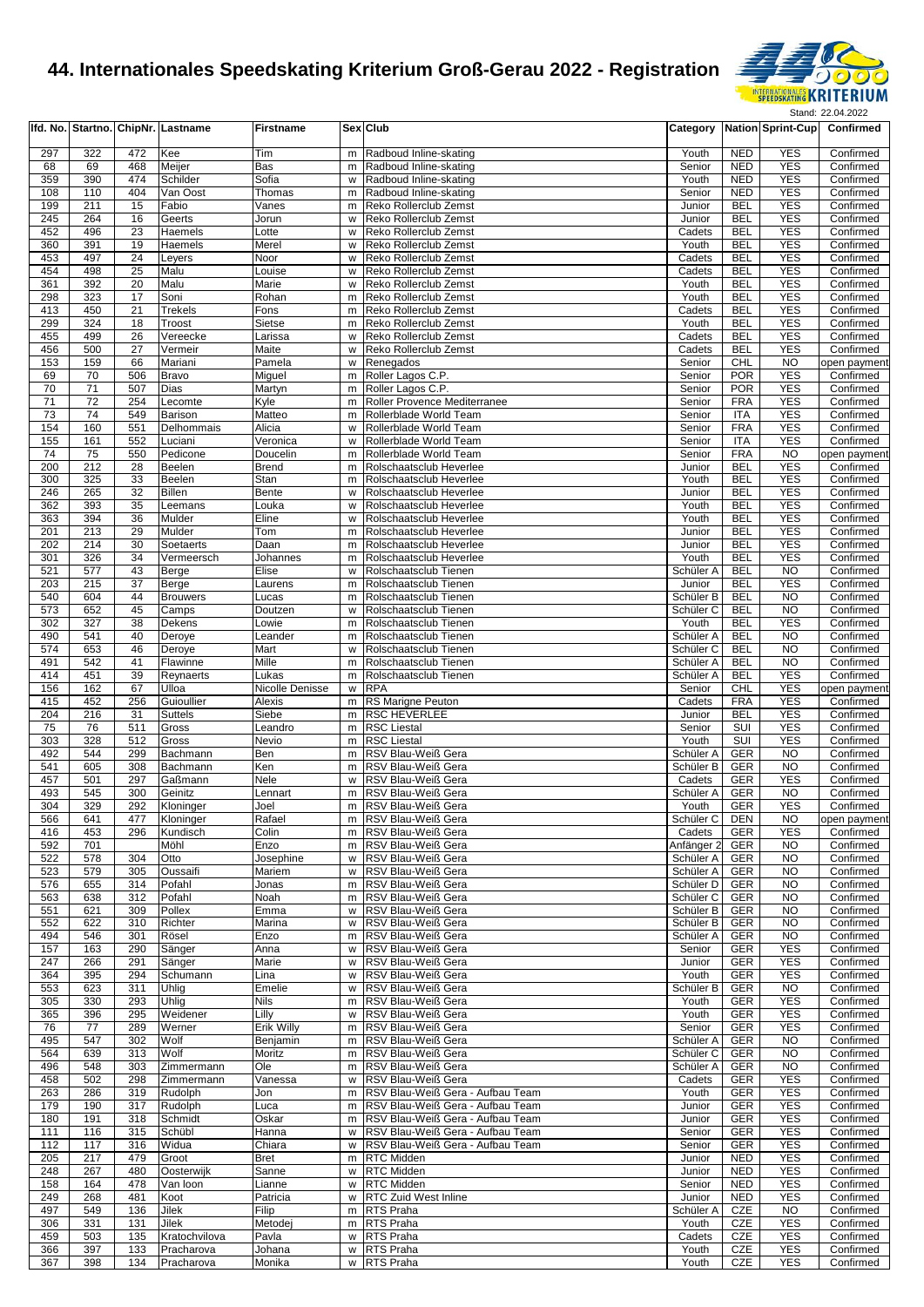

|            |            |            | Ifd. No. Startno. ChipNr. Lastname | <b>Firstname</b>     |        | Sex Club                                       |                                   |                          | Category Nation Sprint-Cup | Confirmed                 |
|------------|------------|------------|------------------------------------|----------------------|--------|------------------------------------------------|-----------------------------------|--------------------------|----------------------------|---------------------------|
| 297        | 322        | 472        | Kee                                | Tim                  | m      | Radboud Inline-skating                         | Youth                             | <b>NED</b>               | <b>YES</b>                 | Confirmed                 |
| 68         | 69         | 468        | Meijer                             | Bas                  | m      | Radboud Inline-skating                         | Senior                            | <b>NED</b>               | <b>YES</b>                 | Confirmed                 |
| 359        | 390        | 474        | Schilder                           | Sofia                | W      | Radboud Inline-skating                         | Youth                             | <b>NED</b>               | <b>YES</b>                 | Confirmed                 |
| 108        | 110        | 404        | Van Oost                           | Thomas               | m      | Radboud Inline-skating                         | Senior                            | <b>NED</b>               | <b>YES</b>                 | Confirmed                 |
| 199        | 211        | 15         | Fabio                              | Vanes                | m      | Reko Rollerclub Zemst                          | Junior                            | <b>BEL</b>               | <b>YES</b>                 | Confirmed                 |
| 245        | 264        | 16         | Geerts                             | Jorun                | w      | Reko Rollerclub Zemst                          | Junior                            | <b>BEL</b>               | <b>YES</b>                 | Confirmed                 |
| 452        | 496        | 23         | Haemels                            | Lotte                | w      | Reko Rollerclub Zemst                          | Cadets                            | <b>BEL</b>               | <b>YES</b>                 | Confirmed                 |
| 360        | 391        | 19         | Haemels                            | Merel                | W      | Reko Rollerclub Zemst                          | Youth                             | <b>BEL</b>               | <b>YES</b>                 | Confirmed                 |
| 453        | 497        | 24         | Leyers                             | Noor                 | W      | Reko Rollerclub Zemst                          | Cadets                            | <b>BEL</b>               | <b>YES</b>                 | Confirmed                 |
| 454        | 498        | 25         | Malu                               | Louise               | w      | Reko Rollerclub Zemst                          | Cadets                            | <b>BEL</b>               | <b>YES</b>                 | Confirmed                 |
| 361        | 392        | 20         | Malu                               | Marie                | w      | Reko Rollerclub Zemst                          | Youth                             | <b>BEL</b>               | <b>YES</b>                 | Confirmed                 |
| 298        | 323        | 17         | Soni                               | Rohan                | m      | Reko Rollerclub Zemst                          | Youth                             | <b>BEL</b>               | <b>YES</b>                 | Confirmed                 |
| 413        | 450        | 21         | Trekels                            | Fons                 | m      | Reko Rollerclub Zemst                          | Cadets                            | <b>BEL</b>               | <b>YES</b>                 | Confirmed                 |
| 299        | 324        | 18         | Troost                             | Sietse               | m      | Reko Rollerclub Zemst                          | Youth                             | <b>BEL</b>               | <b>YES</b>                 | Confirmed                 |
| 455        | 499        | 26         | Vereecke                           | Larissa              | w      | Reko Rollerclub Zemst                          | Cadets                            | <b>BEL</b>               | <b>YES</b>                 | Confirmed                 |
| 456<br>153 | 500<br>159 | 27<br>66   | Vermeir<br>Mariani                 | Maite                | w<br>w | Reko Rollerclub Zemst                          | Cadets                            | <b>BEL</b><br>CHL        | <b>YES</b><br><b>NO</b>    | Confirmed                 |
| 69         | 70         | 506        | Bravo                              | Pamela<br>Miguel     | m      | Renegados<br>Roller Lagos C.P.                 | Senior<br>Senior                  | <b>POR</b>               | YES                        | open payment<br>Confirmed |
| 70         | 71         | 507        | Dias                               | Martyn               | m      | Roller Lagos C.P.                              | Senior                            | <b>POR</b>               | <b>YES</b>                 | Confirmed                 |
| 71         | 72         | 254        | Lecomte                            | Kyle                 | m      | Roller Provence Mediterranee                   | Senior                            | <b>FRA</b>               | <b>YES</b>                 | Confirmed                 |
| 73         | 74         | 549        | Barison                            | Matteo               | m      | Rollerblade World Team                         | Senior                            | <b>ITA</b>               | <b>YES</b>                 | Confirmed                 |
| 154        | 160        | 551        | Delhommais                         | Alicia               | w      | Rollerblade World Team                         | Senior                            | <b>FRA</b>               | <b>YES</b>                 | Confirmed                 |
| 155        | 161        | 552        | Luciani                            | Veronica             | W      | Rollerblade World Team                         | Senior                            | ITA                      | <b>YES</b>                 | Confirmed                 |
| 74         | 75         | 550        | Pedicone                           | Doucelin             | m      | Rollerblade World Team                         | Senior                            | <b>FRA</b>               | <b>NO</b>                  | open payment              |
| 200        | 212        | 28         | Beelen                             | <b>Brend</b>         | m      | Rolschaatsclub Heverlee                        | Junior                            | <b>BEL</b>               | <b>YES</b>                 | Confirmed                 |
| 300        | 325        | 33         | Beelen                             | Stan                 | m      | Rolschaatsclub Heverlee                        | Youth                             | <b>BEL</b>               | <b>YES</b>                 | Confirmed                 |
| 246        | 265        | 32         | <b>Billen</b>                      | Bente                | w      | Rolschaatsclub Heverlee                        | Junior                            | <b>BEL</b>               | <b>YES</b>                 | Confirmed                 |
| 362        | 393        | 35         | Leemans                            | Louka                | W      | Rolschaatsclub Heverlee                        | Youth                             | <b>BEL</b>               | <b>YES</b>                 | Confirmed                 |
| 363        | 394        | 36         | Mulder                             | Eline                | W      | Rolschaatsclub Heverlee                        | Youth                             | <b>BEL</b>               | <b>YES</b>                 | Confirmed                 |
| 201        | 213        | 29         | Mulder                             | Tom                  | m      | Rolschaatsclub Heverlee                        | Junior                            | <b>BEL</b>               | <b>YES</b>                 | Confirmed                 |
| 202        | 214        | 30         | Soetaerts                          | Daan                 | m      | Rolschaatsclub Heverlee                        | Junior                            | <b>BEL</b>               | <b>YES</b>                 | Confirmed                 |
| 301        | 326        | 34         | Vermeersch                         | Johannes             | m      | Rolschaatsclub Heverlee                        | Youth                             | <b>BEL</b>               | <b>YES</b>                 | Confirmed                 |
| 521        | 577        | 43         | Berge                              | Elise                | W      | Rolschaatsclub Tienen                          | Schüler A                         | <b>BEL</b>               | <b>NO</b>                  | Confirmed                 |
| 203        | 215        | 37         | <b>Berge</b>                       | Laurens              | m      | Rolschaatsclub Tienen                          | Junior                            | <b>BEL</b>               | <b>YES</b>                 | Confirmed                 |
| 540        | 604        | 44         | <b>Brouwers</b>                    | Lucas                | m      | Rolschaatsclub Tienen                          | Schüler B                         | <b>BEL</b>               | <b>NO</b>                  | Confirmed                 |
| 573        | 652        | 45         | Camps                              | Doutzen              | W      | Rolschaatsclub Tienen                          | Schüler <sub>C</sub>              | <b>BEL</b>               | <b>NO</b>                  | Confirmed                 |
| 302        | 327        | 38         | Dekens                             | Lowie                | m      | Rolschaatsclub Tienen                          | Youth                             | <b>BEL</b>               | <b>YES</b>                 | Confirmed                 |
| 490        | 541        | 40         | Deroye                             | Leander              | m      | Rolschaatsclub Tienen                          | Schüler A                         | <b>BEL</b>               | <b>NO</b>                  | Confirmed                 |
| 574<br>491 | 653<br>542 | 46<br>41   | Deroye<br>Flawinne                 | Mart<br>Mille        | W      | Rolschaatsclub Tienen<br>Rolschaatsclub Tienen | Schüler <sub>C</sub><br>Schüler A | <b>BEL</b><br><b>BEL</b> | <b>NO</b><br><b>NO</b>     | Confirmed<br>Confirmed    |
| 414        | 451        | 39         | Reynaerts                          | Lukas                | m<br>m | Rolschaatsclub Tienen                          | Schüler A                         | <b>BEL</b>               | <b>YES</b>                 | Confirmed                 |
| 156        | 162        | 67         | Ulloa                              | Nicolle Denisse      | w      | <b>RPA</b>                                     | Senior                            | CHL                      | <b>YES</b>                 | open payment              |
| 415        | 452        | 256        | Guioullier                         | Alexis               | m      | RS Marigne Peuton                              | Cadets                            | <b>FRA</b>               | <b>YES</b>                 | Confirmed                 |
| 204        | 216        | 31         | <b>Suttels</b>                     | Siebe                | m      | <b>RSC HEVERLEE</b>                            | Junior                            | <b>BEL</b>               | <b>YES</b>                 | Confirmed                 |
| 75         | 76         | 511        | Gross                              | Leandro              | m      | <b>RSC Liestal</b>                             | Senior                            | SUI                      | <b>YES</b>                 | Confirmed                 |
| 303        | 328        | 512        | Gross                              | Nevio                | m      | <b>RSC Liestal</b>                             | Youth                             | SUI                      | <b>YES</b>                 | Confirmed                 |
| 492        | 544        | 299        | Bachmann                           | Ben                  | m      | RSV Blau-Weiß Gera                             | Schüler A                         | GER                      | <b>NO</b>                  | Confirmed                 |
| 541        | 605        | 308        | Bachmann                           | Ken                  | m      | RSV Blau-Weiß Gera                             | Schüler B                         | <b>GER</b>               | <b>NO</b>                  | Confirmed                 |
| 457        | 501        | 297        | Gaßmann                            | Nele                 | W      | RSV Blau-Weiß Gera                             | Cadets                            | GER                      | <b>YES</b>                 | Confirmed                 |
| 493        | 545        | 300        | Geinitz                            | Lennart              | m      | RSV Blau-Weiß Gera                             | Schüler A                         | <b>GER</b>               | <b>NO</b>                  | Confirmed                 |
| 304        | 329        | 292        | Kloninger                          | Joel                 | m      | RSV Blau-Weiß Gera                             | Youth                             | <b>GER</b>               | <b>YES</b>                 | Confirmed                 |
| 566        | 641        | 477        | Kloninger                          | Rafael               |        | m RSV Blau-Weiß Gera                           | Schüler C                         | DEN                      | <b>NO</b>                  | open payment              |
| 416        | 453        | 296        | Kundisch                           | Colin                | m      | RSV Blau-Weiß Gera                             | Cadets                            | <b>GER</b>               | <b>YES</b>                 | Confirmed                 |
| 592        | 701        |            | Möhl                               | Enzo                 | m      | RSV Blau-Weiß Gera                             | Anfänger 2                        | <b>GER</b>               | <b>NO</b>                  | Confirmed                 |
| 522        | 578        | 304        | Otto                               | Josephine            | w      | RSV Blau-Weiß Gera                             | Schüler A                         | <b>GER</b>               | <b>NO</b>                  | Confirmed                 |
| 523        | 579        | 305        | Oussaifi                           | Mariem               | w      | RSV Blau-Weiß Gera                             | Schüler A                         | GER                      | <b>NO</b>                  | Confirmed                 |
| 576        | 655        | 314        | Pofahl                             | Jonas                | m      | RSV Blau-Weiß Gera                             | Schüler D                         | GER                      | <b>NO</b>                  | Confirmed                 |
| 563<br>551 | 638<br>621 | 312<br>309 | Pofahl<br>Pollex                   | Noah<br>Emma         | m<br>W | RSV Blau-Weiß Gera<br>RSV Blau-Weiß Gera       | Schüler <sub>C</sub><br>Schüler B | GER<br><b>GER</b>        | <b>NO</b>                  | Confirmed<br>Confirmed    |
| 552        | 622        | 310        | Richter                            | Marina               | w      | RSV Blau-Weiß Gera                             | Schüler B                         | <b>GER</b>               | <b>NO</b><br><b>NO</b>     | Confirmed                 |
| 494        | 546        | 301        | Rösel                              | Enzo                 | m      | RSV Blau-Weiß Gera                             | Schüler A                         | GER                      | <b>NO</b>                  | Confirmed                 |
| 157        | 163        | 290        | Sänger                             | Anna                 | w      | RSV Blau-Weiß Gera                             | Senior                            | GER                      | <b>YES</b>                 | Confirmed                 |
| 247        | 266        | 291        | Sänger                             | Marie                | w      | RSV Blau-Weiß Gera                             | Junior                            | <b>GER</b>               | <b>YES</b>                 | Confirmed                 |
| 364        | 395        | 294        | Schumann                           | Lina                 | W      | RSV Blau-Weiß Gera                             | Youth                             | <b>GER</b>               | <b>YES</b>                 | Confirmed                 |
| 553        | 623        | 311        | Uhlig                              | Emelie               | W      | RSV Blau-Weiß Gera                             | Schüler B                         | <b>GER</b>               | <b>NO</b>                  | Confirmed                 |
| 305        | 330        | 293        | Uhlig                              | <b>Nils</b>          | m      | RSV Blau-Weiß Gera                             | Youth                             | <b>GER</b>               | <b>YES</b>                 | Confirmed                 |
| 365        | 396        | 295        | Weidener                           | Lilly                | w      | RSV Blau-Weiß Gera                             | Youth                             | GER                      | <b>YES</b>                 | Confirmed                 |
| 76         | 77         | 289        | Werner                             | Erik Willy           | m      | RSV Blau-Weiß Gera                             | Senior                            | GER                      | <b>YES</b>                 | Confirmed                 |
| 495        | 547        | 302        | Wolf                               | Benjamin             | m      | RSV Blau-Weiß Gera                             | Schüler A                         | <b>GER</b>               | <b>NO</b>                  | Confirmed                 |
| 564        | 639        | 313        | Wolf                               | Moritz               | m      | RSV Blau-Weiß Gera                             | Schüler C                         | <b>GER</b>               | <b>NO</b>                  | Confirmed                 |
| 496        | 548        | 303        | Zimmermann                         | Ole                  | m      | RSV Blau-Weiß Gera                             | Schüler A                         | GER                      | <b>NO</b>                  | Confirmed                 |
| 458        | 502        | 298        | Zimmermann                         | Vanessa              | w      | RSV Blau-Weiß Gera                             | Cadets                            | GER                      | <b>YES</b>                 | Confirmed                 |
| 263        | 286        | 319        | Rudolph                            | Jon                  | m      | RSV Blau-Weiß Gera - Aufbau Team               | Youth                             | GER                      | <b>YES</b>                 | Confirmed                 |
| 179        | 190        | 317        | Rudolph                            | Luca                 | m      | RSV Blau-Weiß Gera - Aufbau Team               | Junior                            | <b>GER</b>               | <b>YES</b>                 | Confirmed                 |
| 180        | 191        | 318        | Schmidt                            | Oskar                | m      | RSV Blau-Weiß Gera - Aufbau Team               | Junior                            | <b>GER</b>               | <b>YES</b>                 | Confirmed                 |
| 111        | 116        | 315        | Schübl                             | Hanna                | w      | RSV Blau-Weiß Gera - Aufbau Team               | Senior                            | GER                      | <b>YES</b>                 | Confirmed                 |
| 112        | 117        | 316        | Widua                              | Chiara               | W      | RSV Blau-Weiß Gera - Aufbau Team               | Senior                            | GER                      | <b>YES</b>                 | Confirmed                 |
| 205<br>248 | 217<br>267 | 479<br>480 | Groot                              | <b>Bret</b><br>Sanne | m<br>W | <b>RTC Midden</b><br><b>RTC Midden</b>         | Junior<br>Junior                  | <b>NED</b><br><b>NED</b> | <b>YES</b><br><b>YES</b>   | Confirmed<br>Confirmed    |
| 158        | 164        | 478        | Oosterwijk<br>Van loon             | Lianne               | w      | RTC Midden                                     | Senior                            | <b>NED</b>               | <b>YES</b>                 | Confirmed                 |
| 249        | 268        | 481        | Koot                               | Patricia             | w      | <b>RTC Zuid West Inline</b>                    | Junior                            | <b>NED</b>               | <b>YES</b>                 | Confirmed                 |
| 497        | 549        | 136        | Jilek                              | Filip                | m      | <b>RTS Praha</b>                               | Schüler A                         | CZE                      | <b>NO</b>                  | Confirmed                 |
| 306        | 331        | 131        | Jilek                              | Metodej              | m      | <b>RTS Praha</b>                               | Youth                             | CZE                      | <b>YES</b>                 | Confirmed                 |
| 459        | 503        | 135        | Kratochvilova                      | Pavla                | W      | RTS Praha                                      | Cadets                            | CZE                      | <b>YES</b>                 | Confirmed                 |
| 366        | 397        | 133        | Pracharova                         | Johana               | w      | RTS Praha                                      | Youth                             | CZE                      | <b>YES</b>                 | Confirmed                 |
| 367        | 398        | 134        | Pracharova                         | Monika               | w      | <b>RTS Praha</b>                               | Youth                             | CZE                      | <b>YES</b>                 | Confirmed                 |
|            |            |            |                                    |                      |        |                                                |                                   |                          |                            |                           |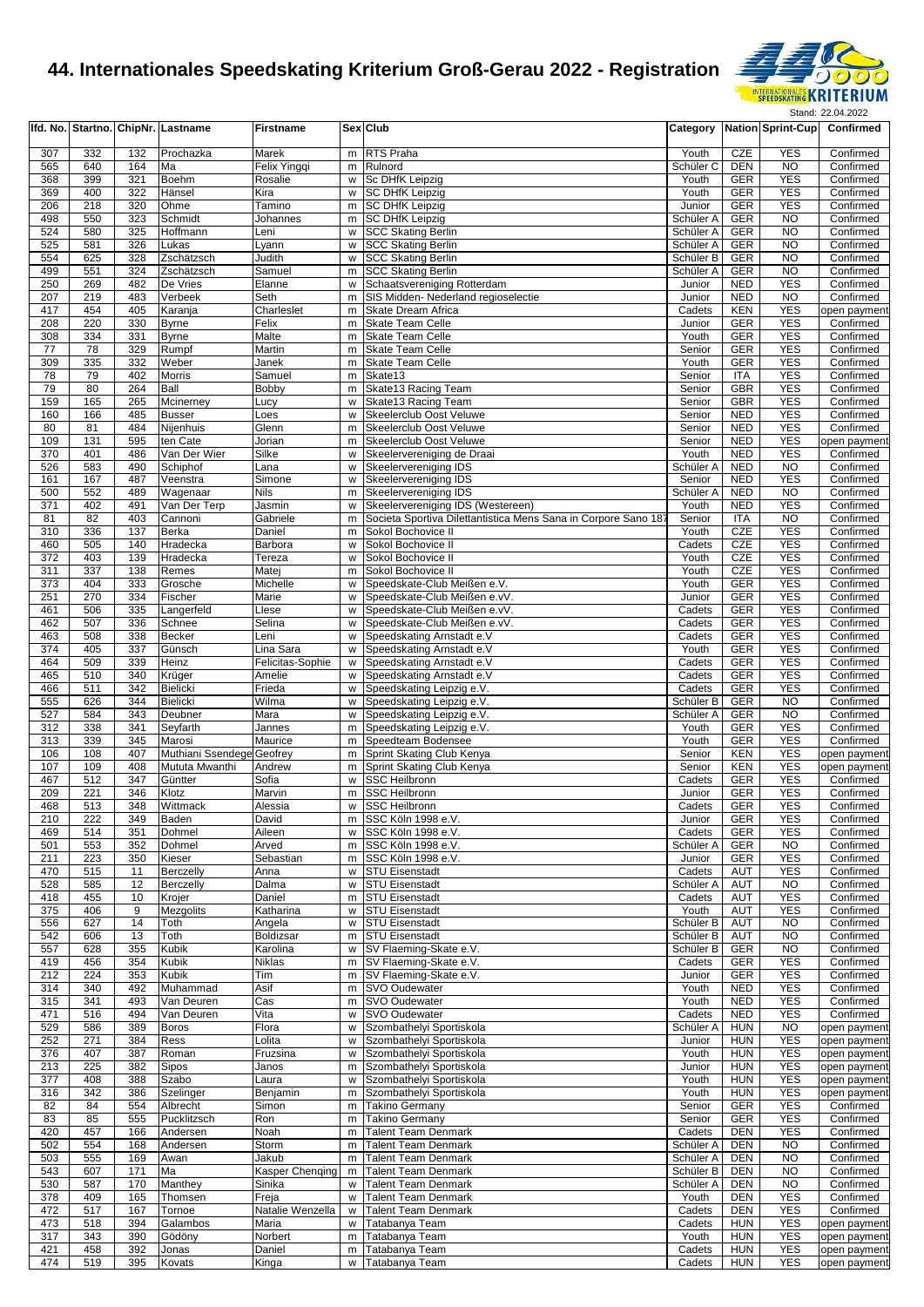

|            |            |            | Ifd. No. Startno. ChipNr. Lastname | <b>Firstname</b>              |        | Sex Club                                                       |                        |                          | Category Nation Sprint-Cup  | Confirmed                    |
|------------|------------|------------|------------------------------------|-------------------------------|--------|----------------------------------------------------------------|------------------------|--------------------------|-----------------------------|------------------------------|
| 307        | 332        | 132        | Prochazka                          | Marek                         | m      | <b>RTS Praha</b>                                               | Youth                  | CZE                      | <b>YES</b>                  | Confirmed                    |
| 565        | 640        | 164        | Ma                                 | Felix Yingqi                  | m      | Rulnord                                                        | Schüler C              | <b>DEN</b>               | <b>NO</b>                   | Confirmed                    |
| 368        | 399        | 321        | <b>Boehm</b>                       | Rosalie                       | W      | Sc DHfK Leipzig                                                | Youth                  | <b>GER</b>               | <b>YES</b>                  | Confirmed                    |
| 369        | 400        | 322        | Hänsel                             | Kira                          | w      | <b>SC DHfK Leipzig</b>                                         | Youth                  | <b>GER</b>               | <b>YES</b>                  | Confirmed                    |
| 206        | 218        | 320        | Ohme                               | Tamino                        |        | m SC DHfK Leipzig                                              | Junior                 | <b>GER</b>               | <b>YES</b>                  | Confirmed                    |
| 498        | 550        | 323        | Schmidt                            | Johannes                      | m      | <b>SC DHfK Leipzig</b>                                         | Schüler A              | <b>GER</b>               | N <sub>O</sub>              | Confirmed                    |
| 524<br>525 | 580        | 325        | Hoffmann                           | Leni                          | W      | <b>SCC Skating Berlin</b>                                      | Schüler A              | <b>GER</b>               | N <sub>O</sub><br><b>NO</b> | Confirmed                    |
| 554        | 581<br>625 | 326<br>328 | Lukas<br>Zschätzsch                | Lyann<br>Judith               | w      | <b>SCC Skating Berlin</b><br>w SCC Skating Berlin              | Schüler A<br>Schüler B | <b>GER</b><br><b>GER</b> | N <sub>O</sub>              | Confirmed<br>Confirmed       |
| 499        | 551        | 324        | Zschätzsch                         | Samuel                        |        | m SCC Skating Berlin                                           | Schüler A              | <b>GER</b>               | <b>NO</b>                   | Confirmed                    |
| 250        | 269        | 482        | De Vries                           | Elanne                        | w      | Schaatsvereniging Rotterdam                                    | Junior                 | <b>NED</b>               | <b>YES</b>                  | Confirmed                    |
| 207        | 219        | 483        | Verbeek                            | Seth                          | m      | SIS Midden- Nederland regioselectie                            | Junior                 | <b>NED</b>               | <b>NO</b>                   | Confirmed                    |
| 417        | 454        | 405        | Karanja                            | Charleslet                    | m      | Skate Dream Africa                                             | Cadets                 | <b>KEN</b>               | <b>YES</b>                  | open payment                 |
| 208        | 220        | 330        | <b>Byrne</b>                       | Felix                         | m      | Skate Team Celle                                               | Junior                 | <b>GER</b>               | <b>YES</b>                  | Confirmed                    |
| 308        | 334        | 331        | Byrne                              | Malte                         | m      | <b>Skate Team Celle</b>                                        | Youth                  | <b>GER</b>               | <b>YES</b>                  | Confirmed                    |
| 77         | 78         | 329        | Rumpf                              | Martin                        | m      | <b>Skate Team Celle</b>                                        | Senior                 | <b>GER</b>               | <b>YES</b>                  | Confirmed                    |
| 309<br>78  | 335<br>79  | 332<br>402 | Weber<br>Morris                    | Janek<br>Samuel               | m<br>m | Skate Team Celle<br>Skate13                                    | Youth<br>Senior        | <b>GER</b><br>ITA        | <b>YES</b><br><b>YES</b>    | Confirmed<br>Confirmed       |
| 79         | 80         | 264        | Ball                               | Bobby                         | m      | Skate13 Racing Team                                            | Senior                 | <b>GBR</b>               | <b>YES</b>                  | Confirmed                    |
| 159        | 165        | 265        | Mcinerney                          | Lucy                          | w      | Skate13 Racing Team                                            | Senior                 | <b>GBR</b>               | <b>YES</b>                  | Confirmed                    |
| 160        | 166        | 485        | <b>Busser</b>                      | Loes                          | w      | Skeelerclub Oost Veluwe                                        | Senior                 | <b>NED</b>               | <b>YES</b>                  | Confirmed                    |
| 80         | 81         | 484        | Nijenhuis                          | Glenn                         | m      | Skeelerclub Oost Veluwe                                        | Senior                 | <b>NED</b>               | <b>YES</b>                  | Confirmed                    |
| 109        | 131        | 595        | ten Cate                           | Jorian                        | m      | Skeelerclub Oost Veluwe                                        | Senior                 | <b>NED</b>               | <b>YES</b>                  | open payment                 |
| 370        | 401        | 486        | Van Der Wier                       | Silke                         | W      | Skeelervereniging de Draai                                     | Youth                  | <b>NED</b>               | <b>YES</b>                  | Confirmed                    |
| 526        | 583        | 490        | Schiphof                           | Lana                          | W      | <b>Skeelervereniging IDS</b>                                   | Schüler A              | <b>NED</b>               | <b>NO</b>                   | Confirmed                    |
| 161        | 167        | 487        | Veenstra                           | Simone                        | W      | Skeelervereniging IDS                                          | Senior                 | <b>NED</b>               | <b>YES</b>                  | Confirmed                    |
| 500<br>371 | 552<br>402 | 489<br>491 | Wagenaar<br>Van Der Terp           | <b>Nils</b><br>Jasmin         | m<br>w | Skeelervereniging IDS<br>Skeelervereniging IDS (Westereen)     | Schüler A<br>Youth     | <b>NED</b><br><b>NED</b> | <b>NO</b><br><b>YES</b>     | Confirmed<br>Confirmed       |
| 81         | 82         | 403        | Cannoni                            | Gabriele                      | m      | Societa Sportiva Dilettantistica Mens Sana in Corpore Sano 187 | Senior                 | <b>ITA</b>               | <b>NO</b>                   | Confirmed                    |
| 310        | 336        | 137        | Berka                              | Daniel                        | m      | Sokol Bochovice II                                             | Youth                  | CZE                      | <b>YES</b>                  | Confirmed                    |
| 460        | 505        | 140        | Hradecka                           | Barbora                       | W      | Sokol Bochovice II                                             | Cadets                 | <b>CZE</b>               | <b>YES</b>                  | Confirmed                    |
| 372        | 403        | 139        | Hradecka                           | Tereza                        | W      | Sokol Bochovice II                                             | Youth                  | CZE                      | <b>YES</b>                  | Confirmed                    |
| 311        | 337        | 138        | Remes                              | Matej                         | m      | Sokol Bochovice II                                             | Youth                  | CZE                      | <b>YES</b>                  | Confirmed                    |
| 373        | 404        | 333        | Grosche                            | Michelle                      | W      | Speedskate-Club Meißen e.V.                                    | Youth                  | <b>GER</b>               | <b>YES</b>                  | Confirmed                    |
| 251        | 270        | 334        | Fischer                            | Marie                         | w      | Speedskate-Club Meißen e.vV.                                   | Junior                 | <b>GER</b>               | <b>YES</b>                  | Confirmed                    |
| 461        | 506        | 335        | Langerfeld                         | Llese                         | w      | Speedskate-Club Meißen e.vV.                                   | Cadets                 | <b>GER</b>               | <b>YES</b>                  | Confirmed                    |
| 462        | 507        | 336        | Schnee                             | Selina                        | W      | Speedskate-Club Meißen e.vV.                                   | Cadets                 | <b>GER</b>               | <b>YES</b>                  | Confirmed                    |
| 463        | 508        | 338        | Becker                             | Leni                          | w      | Speedskating Arnstadt e.V                                      | Cadets                 | <b>GER</b>               | <b>YES</b>                  | Confirmed                    |
| 374<br>464 | 405<br>509 | 337<br>339 | Günsch<br>Heinz                    | Lina Sara<br>Felicitas-Sophie | W<br>w | Speedskating Arnstadt e.V<br>Speedskating Arnstadt e.V         | Youth<br>Cadets        | <b>GER</b><br><b>GER</b> | <b>YES</b><br><b>YES</b>    | Confirmed<br>Confirmed       |
| 465        | 510        | 340        | Krüger                             | Amelie                        | W      | Speedskating Arnstadt e.V                                      | Cadets                 | <b>GER</b>               | <b>YES</b>                  | Confirmed                    |
| 466        | 511        | 342        | <b>Bielicki</b>                    | Frieda                        | w      | Speedskating Leipzig e.V.                                      | Cadets                 | <b>GER</b>               | <b>YES</b>                  | Confirmed                    |
| 555        | 626        | 344        | Bielicki                           | Wilma                         | W      | Speedskating Leipzig e.V.                                      | Schüler B              | <b>GER</b>               | <b>NO</b>                   | Confirmed                    |
| 527        | 584        | 343        | Deubner                            | Mara                          | W      | Speedskating Leipzig e.V.                                      | Schüler A              | <b>GER</b>               | <b>NO</b>                   | Confirmed                    |
| 312        | 338        | 341        | Seyfarth                           | Jannes                        | m      | Speedskating Leipzig e.V.                                      | Youth                  | <b>GER</b>               | <b>YES</b>                  | Confirmed                    |
| 313        | 339        | 345        | Marosi                             | Maurice                       | m      | Speedteam Bodensee                                             | Youth                  | <b>GER</b>               | <b>YES</b>                  | Confirmed                    |
| 106        | 108        | 407        | Muthiani Ssendege                  | Geofrey                       | m      | Sprint Skating Club Kenya                                      | Senior                 | <b>KEN</b>               | <b>YES</b>                  | open payment                 |
| 107        | 109        | 408        | Mututa Mwanthi                     | Andrew                        | m      | Sprint Skating Club Kenya                                      | Senior                 | <b>KEN</b>               | <b>YES</b>                  | open payment                 |
| 467        | 512        | 347        | Güntter                            | Sofia                         | w      | <b>SSC Heilbronn</b>                                           | Cadets                 | <b>GER</b>               | <b>YES</b><br><b>YES</b>    | Confirmed                    |
| 209<br>468 | 221<br>513 | 346<br>348 | Klotz<br>Wittmack                  | Marvin<br>Alessia             | m      | <b>SSC Heilbronn</b><br>w SSC Heilbronn                        | Junior<br>Cadets       | GER<br><b>GER</b>        | <b>YES</b>                  | Confirmed<br>Confirmed       |
| 210        | 222        | 349        | Baden                              | David                         |        | m SSC Köln 1998 e.V.                                           | Junior                 | GER                      | <b>YES</b>                  | Confirmed                    |
| 469        | 514        | 351        | Dohmel                             | Aileen                        |        | w SSC Köln 1998 e.V.                                           | Cadets                 | GER                      | <b>YES</b>                  | Confirmed                    |
| 501        | 553        | 352        | Dohmel                             | Arved                         |        | m SSC Köln 1998 e.V.                                           | Schüler A              | GER                      | NO.                         | Confirmed                    |
| 211        | 223        | 350        | Kieser                             | Sebastian                     |        | m SSC Köln 1998 e.V.                                           | Junior                 | GER                      | <b>YES</b>                  | Confirmed                    |
| 470        | 515        | 11         | Berczelly                          | Anna                          |        | w STU Eisenstadt                                               | Cadets                 | AUT                      | <b>YES</b>                  | Confirmed                    |
| 528        | 585        | 12         | Berczelly                          | Dalma                         |        | w STU Eisenstadt                                               | Schüler A              | <b>AUT</b>               | <b>NO</b>                   | Confirmed                    |
| 418        | 455        | 10         | Krojer                             | Daniel                        |        | m STU Eisenstadt                                               | Cadets                 | <b>AUT</b>               | <b>YES</b>                  | Confirmed                    |
| 375        | 406        | 9          | Mezgolits                          | Katharina                     |        | w STU Eisenstadt                                               | Youth                  | <b>AUT</b>               | <b>YES</b>                  | Confirmed                    |
| 556        | 627        | 14         | Toth                               | Angela<br>Boldizsar           |        | w STU Eisenstadt                                               | Schüler B<br>Schüler B | <b>AUT</b>               | <b>NO</b>                   | Confirmed                    |
| 542<br>557 | 606<br>628 | 13<br>355  | Toth<br>Kubik                      | Karolina                      |        | m STU Eisenstadt<br>w SV Flaeming-Skate e.V.                   | Schüler B              | <b>AUT</b><br><b>GER</b> | <b>NO</b><br><b>NO</b>      | Confirmed<br>Confirmed       |
| 419        | 456        | 354        | Kubik                              | Niklas                        |        | m SV Flaeming-Skate e.V.                                       | Cadets                 | <b>GER</b>               | <b>YES</b>                  | Confirmed                    |
| 212        | 224        | 353        | Kubik                              | Tim                           |        | m SV Flaeming-Skate e.V.                                       | Junior                 | <b>GER</b>               | <b>YES</b>                  | Confirmed                    |
| 314        | 340        | 492        | Muhammad                           | Asif                          |        | m SVO Oudewater                                                | Youth                  | NED                      | <b>YES</b>                  | Confirmed                    |
| 315        | 341        | 493        | Van Deuren                         | Cas                           |        | m SVO Oudewater                                                | Youth                  | <b>NED</b>               | <b>YES</b>                  | Confirmed                    |
| 471        | 516        | 494        | Van Deuren                         | Vita                          |        | w SVO Oudewater                                                | Cadets                 | <b>NED</b>               | <b>YES</b>                  | Confirmed                    |
| 529        | 586        | 389        | <b>Boros</b>                       | Flora                         |        | w Szombathelyi Sportiskola                                     | Schüler A              | <b>HUN</b>               | <b>NO</b>                   | open payment                 |
| 252        | 271        | 384        | Ress                               | Lolita                        | w      | Szombathelyi Sportiskola                                       | Junior                 | <b>HUN</b>               | <b>YES</b>                  | open payment                 |
| 376        | 407        | 387        | Roman                              | Fruzsina                      |        | w Szombathelyi Sportiskola                                     | Youth                  | <b>HUN</b>               | <b>YES</b>                  | open payment                 |
| 213<br>377 | 225<br>408 | 382<br>388 | Sipos<br>Szabo                     | Janos<br>Laura                | w      | m Szombathelyi Sportiskola<br>Szombathelyi Sportiskola         | Junior<br>Youth        | <b>HUN</b><br><b>HUN</b> | <b>YES</b><br><b>YES</b>    | open payment<br>open payment |
| 316        | 342        | 386        | Szelinger                          | Benjamin                      | m      | Szombathelyi Sportiskola                                       | Youth                  | <b>HUN</b>               | <b>YES</b>                  | open payment                 |
| 82         | 84         | 554        | Albrecht                           | Simon                         | m      | <b>Takino Germany</b>                                          | Senior                 | <b>GER</b>               | <b>YES</b>                  | Confirmed                    |
| 83         | 85         | 555        | Pucklitzsch                        | Ron                           |        | m Takino Germany                                               | Senior                 | GER                      | <b>YES</b>                  | Confirmed                    |
| 420        | 457        | 166        | Andersen                           | Noah                          |        | m Talent Team Denmark                                          | Cadets                 | DEN                      | <b>YES</b>                  | Confirmed                    |
| 502        | 554        | 168        | Andersen                           | Storm                         | m      | <b>Talent Team Denmark</b>                                     | Schüler A              | DEN                      | <b>NO</b>                   | Confirmed                    |
| 503        | 555        | 169        | Awan                               | Jakub                         |        | m Talent Team Denmark                                          | Schüler A              | DEN                      | <b>NO</b>                   | Confirmed                    |
| 543        | 607        | 171        | Ма                                 | Kasper Chenqing               | m      | <b>Talent Team Denmark</b>                                     | Schüler B              | DEN                      | <b>NO</b>                   | Confirmed                    |
| 530        | 587        | 170        | Manthey                            | Sinika                        | w      | <b>Talent Team Denmark</b>                                     | Schüler A              | DEN                      | NO.                         | Confirmed                    |
| 378        | 409        | 165        | Thomsen                            | Freja                         |        | w Talent Team Denmark                                          | Youth                  | DEN                      | <b>YES</b>                  | Confirmed                    |
| 472        | 517        | 167        | Tornoe                             | Natalie Wenzella              | W      | <b>Talent Team Denmark</b>                                     | Cadets                 | DEN                      | <b>YES</b><br><b>YES</b>    | Confirmed                    |
| 473<br>317 | 518<br>343 | 394<br>390 | Galambos<br>Gödöny                 | Maria<br>Norbert              |        | w Tatabanya Team<br>m Tatabanya Team                           | Cadets<br>Youth        | <b>HUN</b><br><b>HUN</b> | <b>YES</b>                  | open payment<br>open payment |
| 421        | 458        | 392        | Jonas                              | Daniel                        |        | m Tatabanya Team                                               | Cadets                 | <b>HUN</b>               | <b>YES</b>                  | open payment                 |
| 474        | 519        | 395        | Kovats                             | Kinga                         |        | w Tatabanya Team                                               | Cadets                 | <b>HUN</b>               | <b>YES</b>                  | open payment                 |